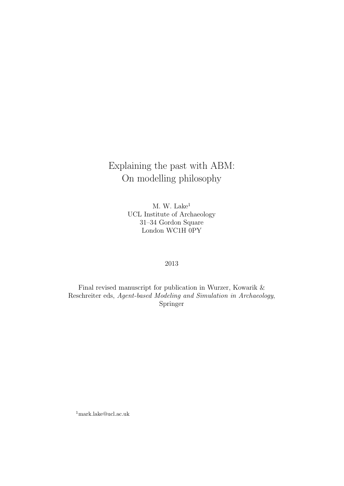# Explaining the past with ABM: On modelling philosophy

M. W. Lake $^1$ UCL Institute of Archaeology 31–34 Gordon Square London WC1H 0PY

## 2013

Final revised manuscript for publication in Wurzer, Kowarik & Reschreiter eds, Agent-based Modeling and Simulation in Archaeology, Springer

<sup>1</sup>mark.lake@ucl.ac.uk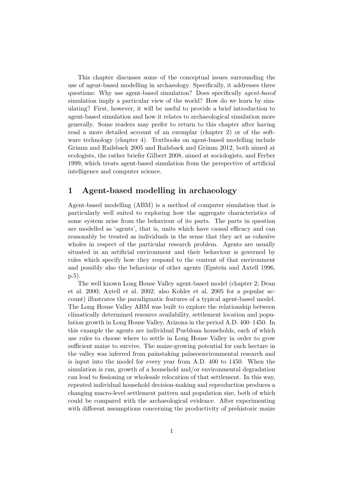This chapter discusses some of the conceptual issues surrounding the use of agent-based modelling in archaeology. Specifically, it addresses three questions: Why use agent-based simulation? Does specifically agent-based simulation imply a particular view of the world? How do we learn by simulating? First, however, it will be useful to provide a brief introduction to agent-based simulation and how it relates to archaeological simulation more generally. Some readers may prefer to return to this chapter after having read a more detailed account of an exemplar (chapter 2) or of the software technology (chapter 4). Textbooks on agent-based modelling include Grimm and Railsback 2005 and Railsback and Grimm 2012, both aimed at ecologists, the rather briefer Gilbert 2008, aimed at sociologists, and Ferber 1999, which treats agent-based simulation from the perspective of artificial intelligence and computer science.

# 1 Agent-based modelling in archaeology

Agent-based modelling (ABM) is a method of computer simulation that is particularly well suited to exploring how the aggregate characteristics of some system arise from the behaviour of its parts. The parts in question are modelled as 'agents', that is, units which have causal efficacy and can reasonably be treated as individuals in the sense that they act as cohesive wholes in respect of the particular research problem. Agents are usually situated in an artificial environment and their behaviour is governed by rules which specify how they respond to the content of that environment and possibly also the behaviour of other agents (Epstein and Axtell 1996, p.5).

The well known Long House Valley agent-based model (chapter 2; Dean et al. 2000; Axtell et al. 2002; also Kohler et al. 2005 for a popular account) illustrates the paradigmatic features of a typical agent-based model. The Long House Valley ABM was built to explore the relationship between climatically determined resource availability, settlement location and population growth in Long House Valley, Arizona in the period A.D. 400–1450. In this example the agents are individual Puebloan households, each of which use rules to choose where to settle in Long House Valley in order to grow sufficient maize to survive. The maize-growing potential for each hectare in the valley was inferred from painstaking palaeoenvironmental research and is input into the model for every year from A.D. 400 to 1450. When the simulation is run, growth of a household and/or environmental degradation can lead to fissioning or wholesale relocation of that settlement. In this way, repeated individual household decision-making and reproduction produces a changing macro-level settlement pattern and population size, both of which could be compared with the archaeological evidence. After experimenting with different assumptions concerning the productivity of prehistoric maize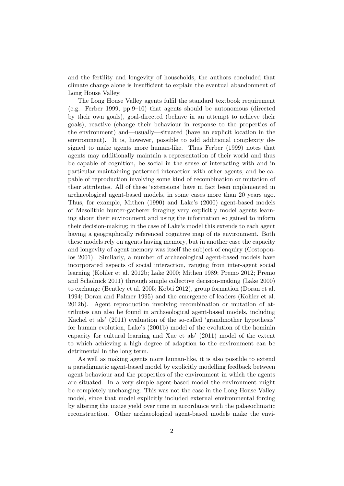and the fertility and longevity of households, the authors concluded that climate change alone is insufficient to explain the eventual abandonment of Long House Valley.

The Long House Valley agents fulfil the standard textbook requirement (e.g. Ferber 1999, pp.9–10) that agents should be autonomous (directed by their own goals), goal-directed (behave in an attempt to achieve their goals), reactive (change their behaviour in response to the properties of the environment) and—usually—situated (have an explicit location in the environment). It is, however, possible to add additional complexity designed to make agents more human-like. Thus Ferber (1999) notes that agents may additionally maintain a representation of their world and thus be capable of cognition, be social in the sense of interacting with and in particular maintaining patterned interaction with other agents, and be capable of reproduction involving some kind of recombination or mutation of their attributes. All of these 'extensions' have in fact been implemented in archaeological agent-based models, in some cases more than 20 years ago. Thus, for example, Mithen (1990) and Lake's (2000) agent-based models of Mesolithic hunter-gatherer foraging very explicitly model agents learning about their environment and using the information so gained to inform their decision-making; in the case of Lake's model this extends to each agent having a geographically referenced cognitive map of its environment. Both these models rely on agents having memory, but in another case the capacity and longevity of agent memory was itself the subject of enquiry (Costopoulos 2001). Similarly, a number of archaeological agent-based models have incorporated aspects of social interaction, ranging from inter-agent social learning (Kohler et al. 2012b; Lake 2000; Mithen 1989; Premo 2012; Premo and Scholnick 2011) through simple collective decision-making (Lake 2000) to exchange (Bentley et al. 2005; Kobti 2012), group formation (Doran et al. 1994; Doran and Palmer 1995) and the emergence of leaders (Kohler et al. 2012b). Agent reproduction involving recombination or mutation of attributes can also be found in archaeological agent-based models, including Kachel et als' (2011) evaluation of the so-called 'grandmother hypothesis' for human evolution, Lake's (2001b) model of the evolution of the hominin capacity for cultural learning and Xue et als' (2011) model of the extent to which achieving a high degree of adaption to the environment can be detrimental in the long term.

As well as making agents more human-like, it is also possible to extend a paradigmatic agent-based model by explicitly modelling feedback between agent behaviour and the properties of the environment in which the agents are situated. In a very simple agent-based model the environment might be completely unchanging. This was not the case in the Long House Valley model, since that model explicitly included external environmental forcing by altering the maize yield over time in accordance with the palaeoclimatic reconstruction. Other archaeological agent-based models make the envi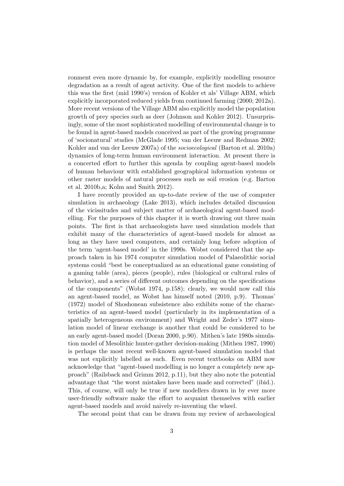ronment even more dynamic by, for example, explicitly modelling resource degradation as a result of agent activity. One of the first models to achieve this was the first (mid 1990's) version of Kohler et als' Village ABM, which explicitly incorporated reduced yields from continued farming (2000; 2012a). More recent versions of the Village ABM also explicitly model the population growth of prey species such as deer (Johnson and Kohler 2012). Unsurprisingly, some of the most sophisticated modelling of environmental change is to be found in agent-based models conceived as part of the growing programme of 'socionatural' studies (McGlade 1995; van der Leeuw and Redman 2002; Kohler and van der Leeuw 2007a) of the socioecological (Barton et al. 2010a) dynamics of long-term human environment interaction. At present there is a concerted effort to further this agenda by coupling agent-based models of human behaviour with established geographical information systems or other raster models of natural processes such as soil erosion (e.g. Barton et al. 2010b,a; Kolm and Smith 2012).

I have recently provided an up-to-date review of the use of computer simulation in archaeology (Lake 2013), which includes detailed discussion of the vicissitudes and subject matter of archaeological agent-based modelling. For the purposes of this chapter it is worth drawing out three main points. The first is that archaeologists have used simulation models that exhibit many of the characteristics of agent-based models for almost as long as they have used computers, and certainly long before adoption of the term 'agent-based model' in the 1990s. Wobst considered that the approach taken in his 1974 computer simulation model of Palaeolithic social systems could "best be conceptualized as an educational game consisting of a gaming table (area), pieces (people), rules (biological or cultural rules of behavior), and a series of different outcomes depending on the specifications of the components" (Wobst 1974, p.158); clearly, we would now call this an agent-based model, as Wobst has himself noted (2010, p.9). Thomas' (1972) model of Shoshonean subsistence also exhibits some of the characteristics of an agent-based model (particularly in its implementation of a spatially heterogeneous environment) and Wright and Zeder's 1977 simulation model of linear exchange is another that could be considered to be an early agent-based model (Doran 2000, p.90). Mithen's late 1980s simulation model of Mesolithic hunter-gather decision-making (Mithen 1987, 1990) is perhaps the most recent well-known agent-based simulation model that was not explicitly labelled as such. Even recent textbooks on ABM now acknowledge that "agent-based modelling is no longer a completely new approach" (Railsback and Grimm 2012, p.11), but they also note the potential advantage that "the worst mistakes have been made and corrected" (ibid.). This, of course, will only be true if new modellers drawn in by ever more user-friendly software make the effort to acquaint themselves with earlier agent-based models and avoid naively re-inventing the wheel.

The second point that can be drawn from my review of archaeological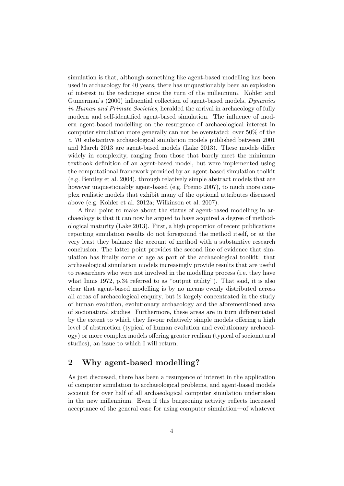simulation is that, although something like agent-based modelling has been used in archaeology for 40 years, there has unquestionably been an explosion of interest in the technique since the turn of the millennium. Kohler and Gumerman's (2000) influential collection of agent-based models, Dynamics in Human and Primate Societies, heralded the arrival in archaeology of fully modern and self-identified agent-based simulation. The influence of modern agent-based modelling on the resurgence of archaeological interest in computer simulation more generally can not be overstated: over 50% of the c. 70 substantive archaeological simulation models published between 2001 and March 2013 are agent-based models (Lake 2013). These models differ widely in complexity, ranging from those that barely meet the minimum textbook definition of an agent-based model, but were implemented using the computational framework provided by an agent-based simulation toolkit (e.g. Bentley et al. 2004), through relatively simple abstract models that are however unquestionably agent-based (e.g. Premo 2007), to much more complex realistic models that exhibit many of the optional attributes discussed above (e.g. Kohler et al. 2012a; Wilkinson et al. 2007).

A final point to make about the status of agent-based modelling in archaeology is that it can now be argued to have acquired a degree of methodological maturity (Lake 2013). First, a high proportion of recent publications reporting simulation results do not foreground the method itself, or at the very least they balance the account of method with a substantive research conclusion. The latter point provides the second line of evidence that simulation has finally come of age as part of the archaeological toolkit: that archaeological simulation models increasingly provide results that are useful to researchers who were not involved in the modelling process (i.e. they have what Innis 1972, p.34 referred to as "output utility"). That said, it is also clear that agent-based modelling is by no means evenly distributed across all areas of archaeological enquiry, but is largely concentrated in the study of human evolution, evolutionary archaeology and the aforementioned area of socionatural studies. Furthermore, these areas are in turn differentiated by the extent to which they favour relatively simple models offering a high level of abstraction (typical of human evolution and evolutionary archaeology) or more complex models offering greater realism (typical of socionatural studies), an issue to which I will return.

# 2 Why agent-based modelling?

As just discussed, there has been a resurgence of interest in the application of computer simulation to archaeological problems, and agent-based models account for over half of all archaeological computer simulation undertaken in the new millennium. Even if this burgeoning activity reflects increased acceptance of the general case for using computer simulation—of whatever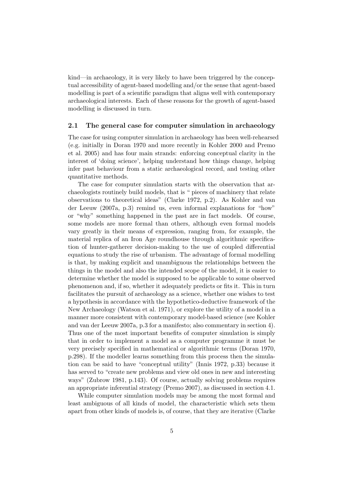kind—in archaeology, it is very likely to have been triggered by the conceptual accessibility of agent-based modelling and/or the sense that agent-based modelling is part of a scientific paradigm that aligns well with contemporary archaeological interests. Each of these reasons for the growth of agent-based modelling is discussed in turn.

#### 2.1 The general case for computer simulation in archaeology

The case for using computer simulation in archaeology has been well-rehearsed (e.g. initially in Doran 1970 and more recently in Kohler 2000 and Premo et al. 2005) and has four main strands: enforcing conceptual clarity in the interest of 'doing science', helping understand how things change, helping infer past behaviour from a static archaeological record, and testing other quantitative methods.

The case for computer simulation starts with the observation that archaeologists routinely build models, that is " pieces of machinery that relate observations to theoretical ideas" (Clarke 1972, p.2). As Kohler and van der Leeuw (2007a, p.3) remind us, even informal explanations for "how" or "why" something happened in the past are in fact models. Of course, some models are more formal than others, although even formal models vary greatly in their means of expression, ranging from, for example, the material replica of an Iron Age roundhouse through algorithmic specification of hunter-gatherer decision-making to the use of coupled differential equations to study the rise of urbanism. The advantage of formal modelling is that, by making explicit and unambiguous the relationships between the things in the model and also the intended scope of the model, it is easier to determine whether the model is supposed to be applicable to some observed phenomenon and, if so, whether it adequately predicts or fits it. This in turn facilitates the pursuit of archaeology as a science, whether one wishes to test a hypothesis in accordance with the hypothetico-deductive framework of the New Archaeology (Watson et al. 1971), or explore the utility of a model in a manner more consistent with contemporary model-based science (see Kohler and van der Leeuw 2007a, p.3 for a manifesto; also commentary in section 4). Thus one of the most important benefits of computer simulation is simply that in order to implement a model as a computer programme it must be very precisely specified in mathematical or algorithmic terms (Doran 1970, p.298). If the modeller learns something from this process then the simulation can be said to have "conceptual utility" (Innis 1972, p.33) because it has served to "create new problems and view old ones in new and interesting ways" (Zubrow 1981, p.143). Of course, actually solving problems requires an appropriate inferential strategy (Premo 2007), as discussed in section 4.1.

While computer simulation models may be among the most formal and least ambiguous of all kinds of model, the characteristic which sets them apart from other kinds of models is, of course, that they are iterative (Clarke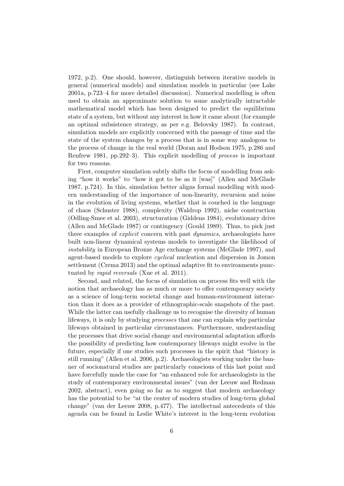1972, p.2). One should, however, distinguish between iterative models in general (numerical models) and simulation models in particular (see Lake 2001a, p.723–4 for more detailed discussion). Numerical modelling is often used to obtain an approximate solution to some analytically intractable mathematical model which has been designed to predict the equilibrium state of a system, but without any interest in how it came about (for example an optimal subsistence strategy, as per e.g. Belovsky 1987). In contrast, simulation models are explicitly concerned with the passage of time and the state of the system changes by a process that is in some way analogous to the process of change in the real world (Doran and Hodson 1975, p.286 and Renfrew 1981, pp.292–3). This explicit modelling of process is important for two reasons.

First, computer simulation subtly shifts the focus of modelling from asking "how it works" to "how it got to be as it [was]" (Allen and McGlade 1987, p.724). In this, simulation better aligns formal modelling with modern understanding of the importance of non-linearity, recursion and noise in the evolution of living systems, whether that is couched in the language of chaos (Schuster 1988), complexity (Waldrop 1992), niche construction (Odling-Smee et al. 2003), structuration (Giddens 1984), evolutionary drive (Allen and McGlade 1987) or contingency (Gould 1989). Thus, to pick just three examples of explicit concern with past dynamics, archaeologists have built non-linear dynamical systems models to investigate the likelihood of instability in European Bronze Age exchange systems (McGlade 1997), and agent-based models to explore cyclical nucleation and dispersion in Jomon settlement (Crema 2013) and the optimal adaptive fit to environments punctuated by rapid reversals (Xue et al. 2011).

Second, and related, the focus of simulation on process fits well with the notion that archaeology has as much or more to offer contemporary society as a science of long-term societal change and human-environment interaction than it does as a provider of ethnographic-scale snapshots of the past. While the latter can usefully challenge us to recognise the diversity of human lifeways, it is only by studying processes that one can explain why particular lifeways obtained in particular circumstances. Furthermore, understanding the processes that drive social change and environmental adaptation affords the possibility of predicting how contemporary lifeways might evolve in the future, especially if one studies such processes in the spirit that "history is still running" (Allen et al. 2006, p.2). Archaeologists working under the banner of socionatural studies are particularly conscious of this last point and have forcefully made the case for "an enhanced role for archaeologists in the study of contemporary environmental issues" (van der Leeuw and Redman 2002, abstract), even going so far as to suggest that modern archaeology has the potential to be "at the center of modern studies of long-term global change" (van der Leeuw 2008, p.477). The intellectual antecedents of this agenda can be found in Leslie White's interest in the long-term evolution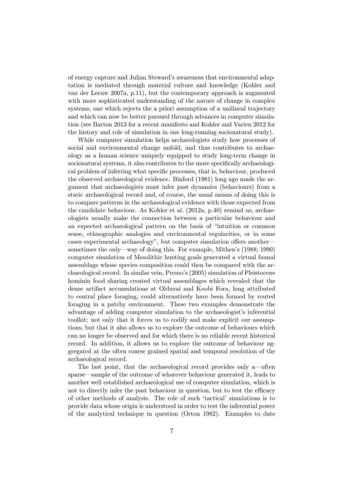of energy capture and Julian Steward's awareness that environmental adaptation is mediated through material culture and knowledge (Kohler and van der Leeuw 2007a, p.11), but the contemporary approach is augmented with more sophisticated understanding of the nature of change in complex systems, one which rejects the a priori assumption of a unilineal trajectory and which can now be better pursued through advances in computer simulation (see Barton 2013 for a recent manifesto and Kohler and Varien 2012 for the history and role of simulation in one long-running socionatural study).

While computer simulation helps archaeologists study how processes of social and environmental change unfold, and thus contributes to archaeology as a human science uniquely equipped to study long-term change in socionatural systems, it also contributes to the more specifically archaeological problem of inferring what specific processes, that is, behaviour, produced the observed archaeological evidence. Binford (1981) long ago made the argument that archaeologists must infer past dynamics (behaviours) from a static archaeological record and, of course, the usual means of doing this is to compare patterns in the archaeological evidence with those expected from the candidate behaviour. As Kohler et al. (2012a, p.40) remind us, archaeologists usually make the connection between a particular behaviour and an expected archaeological pattern on the basis of "intuition or common sense, ethnographic analogies and environmental regularities, or in some cases experimental archaeology", but computer simulation offers another sometimes the only—way of doing this. For example, Mithen's (1988; 1990) computer simulation of Mesolithic hunting goals generated a virtual faunal assemblage whose species composition could then be compared with the archaeological record. In similar vein, Premo's (2005) simulation of Pleistocene hominin food sharing created virtual assemblages which revealed that the dense artifact accumulations at Olduvai and Koobi Fora, long attributed to central place foraging, could alternatively have been formed by routed foraging in a patchy environment. These two examples demonstrate the advantage of adding computer simulation to the archaeologist's inferential toolkit: not only that it forces us to codify and make explicit our assumptions, but that it also allows us to explore the outcome of behaviours which can no longer be observed and for which there is no reliable recent historical record. In addition, it allows us to explore the outcome of behaviour aggregated at the often coarse grained spatial and temporal resolution of the archaeological record.

The last point, that the archaeological record provides only a—often sparse—sample of the outcome of whatever behaviour generated it, leads to another well established archaeological use of computer simulation, which is not to directly infer the past behaviour in question, but to test the efficacy of other methods of analysis. The role of such 'tactical' simulations is to provide data whose origin is understood in order to test the inferential power of the analytical technique in question (Orton 1982). Examples to date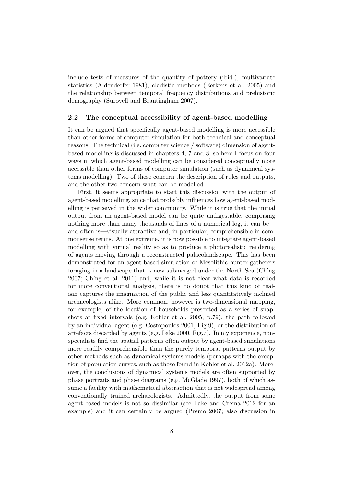include tests of measures of the quantity of pottery (ibid.), multivariate statistics (Aldenderfer 1981), cladistic methods (Eerkens et al. 2005) and the relationship between temporal frequency distributions and prehistoric demography (Surovell and Brantingham 2007).

#### 2.2 The conceptual accessibility of agent-based modelling

It can be argued that specifically agent-based modelling is more accessible than other forms of computer simulation for both technical and conceptual reasons. The technical (i.e. computer science / software) dimension of agentbased modelling is discussed in chapters 4, 7 and 8, so here I focus on four ways in which agent-based modelling can be considered conceptually more accessible than other forms of computer simulation (such as dynamical systems modelling). Two of these concern the description of rules and outputs, and the other two concern what can be modelled.

First, it seems appropriate to start this discussion with the output of agent-based modelling, since that probably influences how agent-based modelling is perceived in the wider community. While it is true that the initial output from an agent-based model can be quite undigestable, comprising nothing more than many thousands of lines of a numerical log, it can be and often is—visually attractive and, in particular, comprehensible in commonsense terms. At one extreme, it is now possible to integrate agent-based modelling with virtual reality so as to produce a photorealistic rendering of agents moving through a reconstructed palaeolandscape. This has been demonstrated for an agent-based simulation of Mesolithic hunter-gatherers foraging in a landscape that is now submerged under the North Sea (Ch'ng 2007; Ch'ng et al. 2011) and, while it is not clear what data is recorded for more conventional analysis, there is no doubt that this kind of realism captures the imagination of the public and less quantitatively inclined archaeologists alike. More common, however is two-dimensional mapping, for example, of the location of households presented as a series of snapshots at fixed intervals (e.g. Kohler et al. 2005, p.79), the path followed by an individual agent (e.g. Costopoulos 2001, Fig.9), or the distribution of artefacts discarded by agents (e.g. Lake 2000, Fig.7). In my experience, nonspecialists find the spatial patterns often output by agent-based simulations more readily comprehensible than the purely temporal patterns output by other methods such as dynamical systems models (perhaps with the exception of population curves, such as those found in Kohler et al. 2012a). Moreover, the conclusions of dynamical systems models are often supported by phase portraits and phase diagrams (e.g. McGlade 1997), both of which assume a facility with mathematical abstraction that is not widespread among conventionally trained archaeologists. Admittedly, the output from some agent-based models is not so dissimilar (see Lake and Crema 2012 for an example) and it can certainly be argued (Premo 2007; also discussion in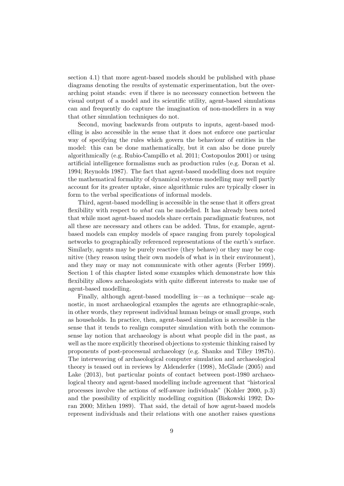section 4.1) that more agent-based models should be published with phase diagrams denoting the results of systematic experimentation, but the overarching point stands: even if there is no necessary connection between the visual output of a model and its scientific utility, agent-based simulations can and frequently do capture the imagination of non-modellers in a way that other simulation techniques do not.

Second, moving backwards from outputs to inputs, agent-based modelling is also accessible in the sense that it does not enforce one particular way of specifying the rules which govern the behaviour of entities in the model: this can be done mathematically, but it can also be done purely algorithmically (e.g. Rubio-Campillo et al. 2011; Costopoulos 2001) or using artificial intelligence formalisms such as production rules (e.g. Doran et al. 1994; Reynolds 1987). The fact that agent-based modelling does not require the mathematical formality of dynamical systems modelling may well partly account for its greater uptake, since algorithmic rules are typically closer in form to the verbal specifications of informal models.

Third, agent-based modelling is accessible in the sense that it offers great flexibility with respect to what can be modelled. It has already been noted that while most agent-based models share certain paradigmatic features, not all these are necessary and others can be added. Thus, for example, agentbased models can employ models of space ranging from purely topological networks to geographically referenced representations of the earth's surface. Similarly, agents may be purely reactive (they behave) or they may be cognitive (they reason using their own models of what is in their environment), and they may or may not communicate with other agents (Ferber 1999). Section 1 of this chapter listed some examples which demonstrate how this flexibility allows archaeologists with quite different interests to make use of agent-based modelling.

Finally, although agent-based modelling is—as a technique—scale agnostic, in most archaeological examples the agents are ethnographic-scale, in other words, they represent individual human beings or small groups, such as households. In practice, then, agent-based simulation is accessible in the sense that it tends to realign computer simulation with both the commonsense lay notion that archaeology is about what people did in the past, as well as the more explicitly theorised objections to systemic thinking raised by proponents of post-processual archaeology (e.g. Shanks and Tilley 1987b). The interweaving of archaeological computer simulation and archaeological theory is teased out in reviews by Aldenderfer (1998), McGlade (2005) and Lake (2013), but particular points of contact between post-1980 archaeological theory and agent-based modelling include agreement that "historical processes involve the actions of self-aware individuals" (Kohler 2000, p.3) and the possibility of explicitly modelling cognition (Biskowski 1992; Doran 2000; Mithen 1989). That said, the detail of how agent-based models represent individuals and their relations with one another raises questions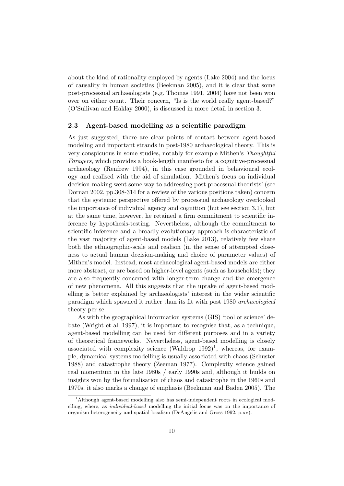about the kind of rationality employed by agents (Lake 2004) and the locus of causality in human societies (Beekman 2005), and it is clear that some post-processual archaeologists (e.g. Thomas 1991, 2004) have not been won over on either count. Their concern, "Is is the world really agent-based?" (O'Sullivan and Haklay 2000), is discussed in more detail in section 3.

#### 2.3 Agent-based modelling as a scientific paradigm

As just suggested, there are clear points of contact between agent-based modeling and important strands in post-1980 archaeological theory. This is very conspicuous in some studies, notably for example Mithen's Thoughtful Foragers, which provides a book-length manifesto for a cognitive-processual archaeology (Renfrew 1994), in this case grounded in behavioural ecology and realised with the aid of simulation. Mithen's focus on individual decision-making went some way to addressing post processual theorists' (see Dornan 2002, pp.308-314 for a review of the various positions taken) concern that the systemic perspective offered by processual archaeology overlooked the importance of individual agency and cognition (but see section 3.1), but at the same time, however, he retained a firm commitment to scientific inference by hypothesis-testing. Nevertheless, although the commitment to scientific inference and a broadly evolutionary approach is characteristic of the vast majority of agent-based models (Lake 2013), relatively few share both the ethnographic-scale and realism (in the sense of attempted closeness to actual human decision-making and choice of parameter values) of Mithen's model. Instead, most archaeological agent-based models are either more abstract, or are based on higher-level agents (such as households); they are also frequently concerned with longer-term change and the emergence of new phenomena. All this suggests that the uptake of agent-based modelling is better explained by archaeologists' interest in the wider scientific paradigm which spawned it rather than its fit with post 1980 archaeological theory per se.

As with the geographical information systems (GIS) 'tool or science' debate (Wright et al. 1997), it is important to recognise that, as a technique, agent-based modelling can be used for different purposes and in a variety of theoretical frameworks. Nevertheless, agent-based modelling is closely associated with complexity science  $(Waldrop 1992)^1$ , whereas, for example, dynamical systems modelling is usually associated with chaos (Schuster 1988) and catastrophe theory (Zeeman 1977). Complexity science gained real momentum in the late 1980s / early 1990s and, although it builds on insights won by the formalisation of chaos and catastrophe in the 1960s and 1970s, it also marks a change of emphasis (Beekman and Baden 2005). The

<sup>&</sup>lt;sup>1</sup>Although agent-based modelling also has semi-independent roots in ecological modelling, where, as individual-based modelling the initial focus was on the importance of organism heterogeneity and spatial localism (DeAngelis and Gross 1992, p.xv).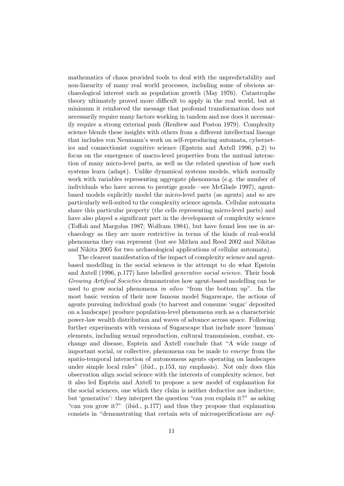mathematics of chaos provided tools to deal with the unpredictability and non-linearity of many real world processes, including some of obvious archaeological interest such as population growth (May 1976). Catastrophe theory ultimately proved more difficult to apply in the real world, but at minimum it reinforced the message that profound transformation does not necessarily require many factors working in tandem and nor does it necessarily require a strong external push (Renfrew and Poston 1979). Complexity science blends these insights with others from a different intellectual lineage that includes von Neumann's work on self-reproducing automata, cybernetics and connectionist cognitive science (Epstein and Axtell 1996, p.2) to focus on the emergence of macro-level properties from the mutual interaction of many micro-level parts, as well as the related question of how such systems learn (adapt). Unlike dynamical systems models, which normally work with variables representing aggregate phenomena (e.g. the number of individuals who have access to prestige goods—see McGlade 1997), agentbased models explicitly model the micro-level parts (as agents) and so are particularly well-suited to the complexity science agenda. Cellular automata share this particular property (the cells representing micro-level parts) and have also played a significant part in the development of complexity science (Toffoli and Margolus 1987; Wolfram 1984), but have found less use in archaeology as they are more restrictive in terms of the kinds of real-world phenomena they can represent (but see Mithen and Reed 2002 and Nikitas and Nikita 2005 for two archaeological applications of cellular automata).

The clearest manifestation of the impact of complexity science and agentbased modelling in the social sciences is the attempt to do what Epstein and Axtell (1996, p.177) have labelled generative social science. Their book Growing Artifical Societies demonstrates how agent-based modelling can be used to grow social phenomena in silico "from the bottom up". In the most basic version of their now famous model Sugarscape, the actions of agents pursuing individual goals (to harvest and consume 'sugar' deposited on a landscape) produce population-level phenomena such as a characterisic power-law wealth distribution and waves of advance across space. Following further experiments with versions of Sugarscape that include more 'human' elements, including sexual reproduction, cultural transmission, combat, exchange and disease, Esptein and Axtell conclude that "A wide range of important social, or collective, phenomena can be made to emerge from the spatio-temporal interaction of autonomous agents operating on landscapes under simple local rules" (ibid., p.153, my emphasis). Not only does this observation align social science with the interests of complexity science, but it also led Esptein and Axtell to propose a new model of explanation for the social sciences, one which they claim is neither deductive nor inductive, but 'generative': they interpret the question "can you explain it?" as asking "can you grow it?" (ibid., p.177) and thus they propose that explanation consists in "demonstrating that certain sets of microspecifications are suf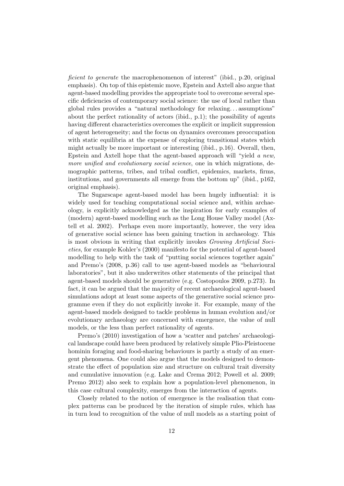ficient to generate the macrophenomenon of interest" (ibid., p.20, original emphasis). On top of this epistemic move, Epstein and Axtell also argue that agent-based modelling provides the appropriate tool to overcome several specific deficiencies of contemporary social science: the use of local rather than global rules provides a "natural methodology for relaxing. . . assumptions" about the perfect rationality of actors (ibid., p.1); the possibility of agents having different characteristics overcomes the explicit or implicit suppression of agent heterogeneity; and the focus on dynamics overcomes preoccupation with static equilibria at the expense of exploring transitional states which might actually be more important or interesting (ibid., p.16). Overall, then, Epstein and Axtell hope that the agent-based approach will "yield a new, more unified and evolutionary social science, one in which migrations, demographic patterns, tribes, and tribal conflict, epidemics, markets, firms, institutions, and governments all emerge from the bottom up" (ibid., p162, original emphasis).

The Sugarscape agent-based model has been hugely influential: it is widely used for teaching computational social science and, within archaeology, is explicitly acknowledged as the inspiration for early examples of (modern) agent-based modelling such as the Long House Valley model (Axtell et al. 2002). Perhaps even more importantly, however, the very idea of generative social science has been gaining traction in archaeology. This is most obvious in writing that explicitly invokes Growing Artificial Societies, for example Kohler's (2000) manifesto for the potential of agent-based modelling to help with the task of "putting social sciences together again" and Premo's (2008, p.36) call to use agent-based models as "behavioural laboratories", but it also underwrites other statements of the principal that agent-based models should be generative (e.g. Costopoulos 2009, p.273). In fact, it can be argued that the majority of recent archaeological agent-based simulations adopt at least some aspects of the generative social science programme even if they do not explicitly invoke it. For example, many of the agent-based models designed to tackle problems in human evolution and/or evolutionary archaeology are concerned with emergence, the value of null models, or the less than perfect rationality of agents.

Premo's (2010) investigation of how a 'scatter and patches' archaeological landscape could have been produced by relatively simple Plio-Pleistocene hominin foraging and food-sharing behaviours is partly a study of an emergent phenomena. One could also argue that the models designed to demonstrate the effect of population size and structure on cultural trait diversity and cumulative innovation (e.g. Lake and Crema 2012; Powell et al. 2009; Premo 2012) also seek to explain how a population-level phenomenon, in this case cultural complexity, emerges from the interaction of agents.

Closely related to the notion of emergence is the realisation that complex patterns can be produced by the iteration of simple rules, which has in turn lead to recognition of the value of null models as a starting point of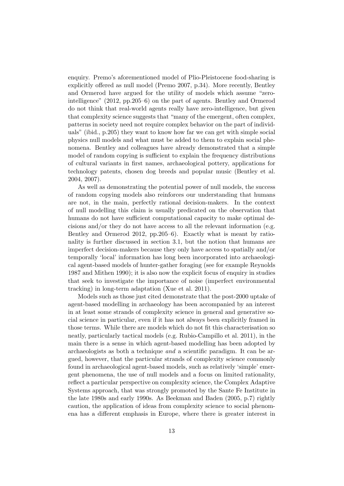enquiry. Premo's aforementioned model of Plio-Pleistocene food-sharing is explicitly offered as null model (Premo 2007, p.34). More recently, Bentley and Ormerod have argued for the utility of models which assume "zerointelligence" (2012, pp.205–6) on the part of agents. Bentley and Ormerod do not think that real-world agents really have zero-intelligence, but given that complexity science suggests that "many of the emergent, often complex, patterns in society need not require complex behavior on the part of individuals" (ibid., p.205) they want to know how far we can get with simple social physics null models and what must be added to them to explain social phenomena. Bentley and colleagues have already demonstrated that a simple model of random copying is sufficient to explain the frequency distributions of cultural variants in first names, archaeological pottery, applications for technology patents, chosen dog breeds and popular music (Bentley et al. 2004, 2007).

As well as demonstrating the potential power of null models, the success of random copying models also reinforces our understanding that humans are not, in the main, perfectly rational decision-makers. In the context of null modelling this claim is usually predicated on the observation that humans do not have sufficient computational capacity to make optimal decisions and/or they do not have access to all the relevant information (e.g. Bentley and Ormerod 2012, pp.205–6). Exactly what is meant by rationality is further discussed in section 3.1, but the notion that humans are imperfect decision-makers because they only have access to spatially and/or temporally 'local' information has long been incorporated into archaeological agent-based models of hunter-gather foraging (see for example Reynolds 1987 and Mithen 1990); it is also now the explicit focus of enquiry in studies that seek to investigate the importance of noise (imperfect environmental tracking) in long-term adaptation (Xue et al. 2011).

Models such as those just cited demonstrate that the post-2000 uptake of agent-based modelling in archaeology has been accompanied by an interest in at least some strands of complexity science in general and generative social science in particular, even if it has not always been explicitly framed in those terms. While there are models which do not fit this characterisation so neatly, particularly tactical models (e.g. Rubio-Campillo et al. 2011), in the main there is a sense in which agent-based modelling has been adopted by archaeologists as both a technique and a scientific paradigm. It can be argued, however, that the particular strands of complexity science commonly found in archaeological agent-based models, such as relatively 'simple' emergent phenomena, the use of null models and a focus on limited rationality, reflect a particular perspective on complexity science, the Complex Adaptive Systems approach, that was strongly promoted by the Sante Fe Institute in the late 1980s and early 1990s. As Beekman and Baden (2005, p.7) rightly caution, the application of ideas from complexity science to social phenomena has a different emphasis in Europe, where there is greater interest in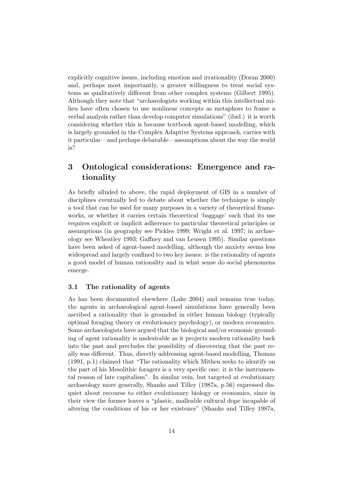explicitly cognitive issues, including emotion and irrationality (Doran 2000) and, perhaps most importantly, a greater willingness to treat social systems as qualitatively different from other complex systems (Gilbert 1995). Although they note that "archaeologists working within this intellectual milieu have often chosen to use nonlinear concepts as metaphors to frame a verbal analysis rather than develop computer simulations" (ibid.) it is worth considering whether this is because textbook agent-based modelling, which is largely grounded in the Complex Adaptive Systems approach, carries with it particular—and perhaps debatable—assumptions about the way the world is?

# 3 Ontological considerations: Emergence and rationality

As briefly alluded to above, the rapid deployment of GIS in a number of disciplines eventually led to debate about whether the technique is simply a tool that can be used for many purposes in a variety of theoretical frameworks, or whether it carries certain theoretical 'baggage' such that its use requires explicit or implicit adherence to particular theoretical principles or assumptions (in geography see Pickles 1999; Wright et al. 1997; in archaeology see Wheatley 1993; Gaffney and van Leusen 1995). Similar questions have been asked of agent-based modelling, although the anxiety seems less widespread and largely confined to two key issues: is the rationality of agents a good model of human rationality and in what sense do social phenomena emerge.

#### 3.1 The rationality of agents

As has been documented elsewhere (Lake 2004) and remains true today, the agents in archaeological agent-based simulations have generally been ascribed a rationality that is grounded in either human biology (typically optimal foraging theory or evolutionary psychology), or modern economics. Some archaeologists have argued that the biological and/or economic grounding of agent rationality is undesirable as it projects modern rationality back into the past and precludes the possibility of discovering that the past really was different. Thus, directly addressing agent-based modelling, Thomas (1991, p.1) claimed that "The rationality which Mithen seeks to identify on the part of his Mesolithic foragers is a very specific one: it is the instrumental reason of late capitalism". In similar vein, but targeted at evolutionary archaeology more generally, Shanks and Tilley (1987a, p.56) expressed disquiet about recourse to either evolutionary biology or economics, since in their view the former leaves a "plastic, malleable cultural dope incapable of altering the conditions of his or her existence" (Shanks and Tilley 1987a,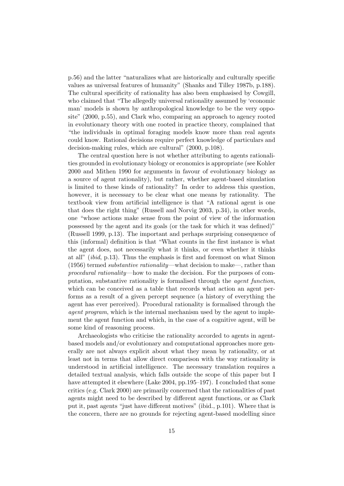p.56) and the latter "naturalizes what are historically and culturally specific values as universal features of humanity" (Shanks and Tilley 1987b, p.188). The cultural specificity of rationality has also been emphasised by Cowgill, who claimed that "The allegedly universal rationality assumed by 'economic man' models is shown by anthropological knowledge to be the very opposite" (2000, p.55), and Clark who, comparing an approach to agency rooted in evolutionary theory with one rooted in practice theory, complained that "the individuals in optimal foraging models know more than real agents could know. Rational decisions require perfect knowledge of particulars and decision-making rules, which are cultural" (2000, p.108).

The central question here is not whether attributing to agents rationalities grounded in evolutionary biology or economics is appropriate (see Kohler 2000 and Mithen 1990 for arguments in favour of evolutionary biology as a source of agent rationality), but rather, whether agent-based simulation is limited to these kinds of rationality? In order to address this question, however, it is necessary to be clear what one means by rationality. The textbook view from artificial intelligence is that "A rational agent is one that does the right thing" (Russell and Norvig 2003, p.34), in other words, one "whose actions make sense from the point of view of the information possessed by the agent and its goals (or the task for which it was defined)" (Russell 1999, p.13). The important and perhaps surprising consequence of this (informal) definition is that "What counts in the first instance is what the agent does, not necessarily what it thinks, or even whether it thinks at all" (ibid, p.13). Thus the emphasis is first and foremost on what Simon  $(1956)$  termed *substantive rationality—what decision to make—*, rather than procedural rationality—how to make the decision. For the purposes of computation, substantive rationality is formalised through the agent function, which can be conceived as a table that records what action an agent performs as a result of a given percept sequence (a history of everything the agent has ever perceived). Procedural rationality is formalised through the agent program, which is the internal mechanism used by the agent to implement the agent function and which, in the case of a cognitive agent, will be some kind of reasoning process.

Archaeologists who criticise the rationality accorded to agents in agentbased models and/or evolutionary and computational approaches more generally are not always explicit about what they mean by rationality, or at least not in terms that allow direct comparison with the way rationality is understood in artificial intelligence. The necessary translation requires a detailed textual analysis, which falls outside the scope of this paper but I have attempted it elsewhere (Lake 2004, pp.195–197). I concluded that some critics (e.g. Clark 2000) are primarily concerned that the rationalities of past agents might need to be described by different agent functions, or as Clark put it, past agents "just have different motives" (ibid., p.101). Where that is the concern, there are no grounds for rejecting agent-based modelling since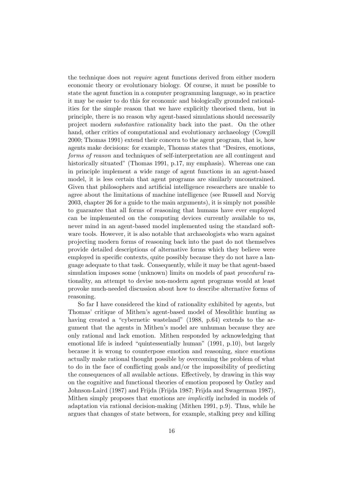the technique does not require agent functions derived from either modern economic theory or evolutionary biology. Of course, it must be possible to state the agent function in a computer programming language, so in practice it may be easier to do this for economic and biologically grounded rationalities for the simple reason that we have explicitly theorised them, but in principle, there is no reason why agent-based simulations should necessarily project modern substantive rationality back into the past. On the other hand, other critics of computational and evolutionary archaeology (Cowgill 2000; Thomas 1991) extend their concern to the agent program, that is, how agents make decisions: for example, Thomas states that "Desires, emotions, forms of reason and techniques of self-interpretation are all contingent and historically situated" (Thomas 1991, p.17, my emphasis). Whereas one can in principle implement a wide range of agent functions in an agent-based model, it is less certain that agent programs are similarly unconstrained. Given that philosophers and artificial intelligence researchers are unable to agree about the limitations of machine intelligence (see Russell and Norvig 2003, chapter 26 for a guide to the main arguments), it is simply not possible to guarantee that all forms of reasoning that humans have ever employed can be implemented on the computing devices currently available to us, never mind in an agent-based model implemented using the standard software tools. However, it is also notable that archaeologists who warn against projecting modern forms of reasoning back into the past do not themselves provide detailed descriptions of alternative forms which they believe were employed in specific contexts, quite possibly because they do not have a language adequate to that task. Consequently, while it may be that agent-based simulation imposes some (unknown) limits on models of past procedural rationality, an attempt to devise non-modern agent programs would at least provoke much-needed discussion about how to describe alternative forms of reasoning.

So far I have considered the kind of rationality exhibited by agents, but Thomas' critique of Mithen's agent-based model of Mesolithic hunting as having created a "cybernetic wasteland" (1988, p.64) extends to the argument that the agents in Mithen's model are unhuman because they are only rational and lack emotion. Mithen responded by acknowledging that emotional life is indeed "quintessentially human" (1991, p.10), but largely because it is wrong to counterpose emotion and reasoning, since emotions actually make rational thought possible by overcoming the problem of what to do in the face of conflicting goals and/or the impossibility of predicting the consequences of all available actions. Effectively, by drawing in this way on the cognitive and functional theories of emotion proposed by Oatley and Johnson-Laird (1987) and Frijda (Frijda 1987; Frijda and Swagerman 1987), Mithen simply proposes that emotions are implicitly included in models of adaptation via rational decision-making (Mithen 1991, p.9). Thus, while he argues that changes of state between, for example, stalking prey and killing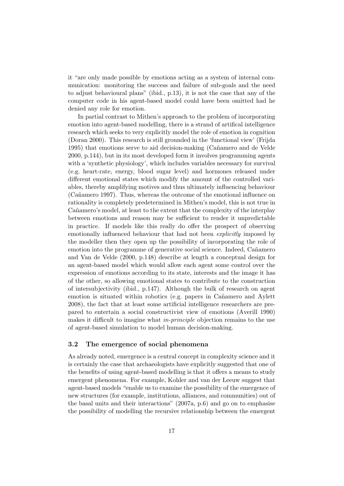it "are only made possible by emotions acting as a system of internal communication: monitoring the success and failure of sub-goals and the need to adjust behavioural plans" (ibid., p.13), it is not the case that any of the computer code in his agent-based model could have been omitted had he denied any role for emotion.

In partial contrast to Mithen's approach to the problem of incorporating emotion into agent-based modelling, there is a strand of artifical intelligence research which seeks to very explicitly model the role of emotion in cognition (Doran 2000). This research is still grounded in the 'functional view' (Frijda 1995) that emotions serve to aid decision-making (Cañamero and de Velde 2000, p.144), but in its most developed form it involves programming agents with a 'synthetic physiology', which includes variables necessary for survival (e.g. heart-rate, energy, blood sugar level) and hormones released under different emotional states which modify the amount of the controlled variables, thereby amplifying motives and thus ultimately influencing behaviour (Ca˜namero 1997). Thus, whereas the outcome of the emotional influence on rationality is completely predetermined in Mithen's model, this is not true in Ca˜namero's model, at least to the extent that the complexity of the interplay between emotions and reason may be sufficient to render it unpredictable in practice. If models like this really do offer the prospect of observing emotionally influenced behaviour that had not been *explicitly* imposed by the modeller then they open up the possibility of incorporating the role of emotion into the programme of generative social science. Indeed, Cañamero and Van de Velde (2000, p.148) describe at length a conceptual design for an agent-based model which would allow each agent some control over the expression of emotions according to its state, interests and the image it has of the other, so allowing emotional states to contribute to the construction of intersubjectivity (ibid., p.147). Although the bulk of research on agent emotion is situated within robotics (e.g. papers in Cañamero and Aylett 2008), the fact that at least some artificial intelligence researchers are prepared to entertain a social constructivist view of emotions (Averill 1990) makes it difficult to imagine what *in-principle* objection remains to the use of agent-based simulation to model human decision-making.

#### 3.2 The emergence of social phenomena

As already noted, emergence is a central concept in complexity science and it is certainly the case that archaeologists have explicitly suggested that one of the benefits of using agent-based modelling is that it offers a means to study emergent phenomena. For example, Kohler and van der Leeuw suggest that agent-based models "enable us to examine the possibility of the emergence of new structures (for example, institutions, alliances, and communities) out of the basal units and their interactions" (2007a, p.6) and go on to emphasise the possibility of modelling the recursive relationship between the emergent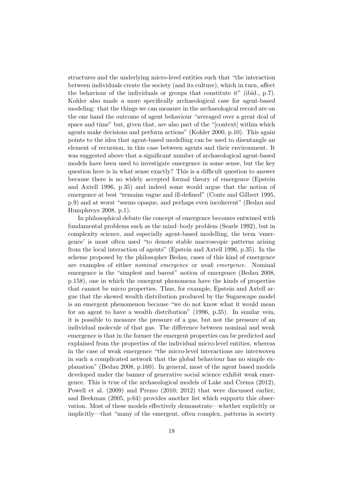structures and the underlying micro-level entities such that "the interaction between individuals create the society (and its culture), which in turn, affect the behaviour of the individuals or groups that constitute it" (ibid., p.7). Kohler also made a more specifically archaeological case for agent-based modeling: that the things we can measure in the archaeological record are on the one hand the outcome of agent behaviour "averaged over a great deal of space and time" but, given that, are also part of the "[context] within which agents make decisions and perform actions" (Kohler 2000, p.10). This again points to the idea that agent-based modelling can be used to disentangle an element of recursion, in this case between agents and their environment. It was suggested above that a significant number of archaeological agent-based models have been used to investigate emergence in some sense, but the key question here is in what sense exactly? This is a difficult question to answer because there is no widely accepted formal theory of emergence (Epstein and Axtell 1996, p.35) and indeed some would argue that the notion of emergence at best "remains vague and ill-defined" (Conte and Gilbert 1995, p.9) and at worst "seems opaque, and perhaps even incoherent" (Bedau and Humphreys 2008, p.1).

In philosophical debate the concept of emergence becomes entwined with fundamental problems such as the mind–body problem (Searle 1992), but in complexity science, and especially agent-based modelling, the term 'emergence' is most often used "to denote stable macroscopic patterns arising from the local interaction of agents" (Epstein and Axtell 1996, p.35). In the scheme proposed by the philosopher Bedau, cases of this kind of emergence are examples of either nominal emergence or weak emergence. Nominal emergence is the "simplest and barest" notion of emergence (Bedau 2008, p.158), one in which the emergent phenomena have the kinds of properties that cannot be micro properties. Thus, for example, Epstein and Axtell argue that the skewed wealth distribution produced by the Sugarscape model is an emergent phenomenon because "we do not know what it would mean for an agent to have a wealth distribution" (1996, p.35). In similar vein, it is possible to measure the pressure of a gas, but not the pressure of an individual molecule of that gas. The difference between nominal and weak emergence is that in the former the emergent properties can be predicted and explained from the properties of the individual micro-level entities, whereas in the case of weak emergence "the micro-level interactions are interwoven in such a complicated network that the global behaviour has no simple explanation" (Bedau 2008, p.160). In general, most of the agent based models developed under the banner of generative social science exhibit weak emergence. This is true of the archaeological models of Lake and Crema (2012), Powell et al. (2009) and Premo (2010; 2012) that were discussed earlier, and Beekman (2005, p.64) provides another list which supports this observation. Most of these models effectively demonstrate—whether explicitly or implicitly—that "many of the emergent, often complex, patterns in society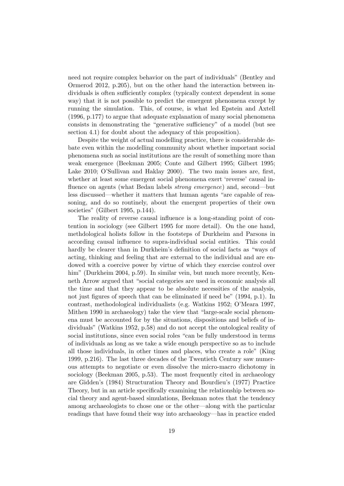need not require complex behavior on the part of individuals" (Bentley and Ormerod 2012, p.205), but on the other hand the interaction between individuals is often sufficiently complex (typically context dependent in some way) that it is not possible to predict the emergent phenomena except by running the simulation. This, of course, is what led Epstein and Axtell (1996, p.177) to argue that adequate explanation of many social phenomena consists in demonstrating the "generative sufficiency" of a model (but see section 4.1) for doubt about the adequacy of this proposition).

Despite the weight of actual modelling practice, there is considerable debate even within the modelling community about whether important social phenomena such as social institutions are the result of something more than weak emergence (Beekman 2005; Conte and Gilbert 1995; Gilbert 1995; Lake 2010; O'Sullivan and Haklay 2000). The two main issues are, first, whether at least some emergent social phenomena exert 'reverse' causal influence on agents (what Bedau labels strong emergence) and, second—but less discussed—whether it matters that human agents "are capable of reasoning, and do so routinely, about the emergent properties of their own societies" (Gilbert 1995, p.144).

The reality of reverse causal influence is a long-standing point of contention in sociology (see Gilbert 1995 for more detail). On the one hand, methdological holists follow in the footsteps of Durkheim and Parsons in according causal influence to supra-individual social entities. This could hardly be clearer than in Durkheim's definition of social facts as "ways of acting, thinking and feeling that are external to the individual and are endowed with a coercive power by virtue of which they exercise control over him" (Durkheim 2004, p.59). In similar vein, but much more recently, Kenneth Arrow argued that "social categories are used in economic analysis all the time and that they appear to be absolute necessities of the analysis, not just figures of speech that can be eliminated if need be" (1994, p.1). In contrast, methodological individualists (e.g. Watkins 1952; O'Meara 1997, Mithen 1990 in archaeology) take the view that "large-scale social phenomena must be accounted for by the situations, dispositions and beliefs of individuals" (Watkins 1952, p.58) and do not accept the ontological reality of social institutions, since even social roles "can be fully understood in terms of individuals as long as we take a wide enough perspective so as to include all those individuals, in other times and places, who create a role" (King 1999, p.216). The last three decades of the Twentieth Century saw numerous attempts to negotiate or even dissolve the micro-macro dichotomy in sociology (Beekman 2005, p.53). The most frequently cited in archaeology are Gidden's (1984) Structuration Theory and Bourdieu's (1977) Practice Theory, but in an article specifically examining the relationship between social theory and agent-based simulations, Beekman notes that the tendency among archaeologists to chose one or the other—along with the particular readings that have found their way into archaeology—has in practice ended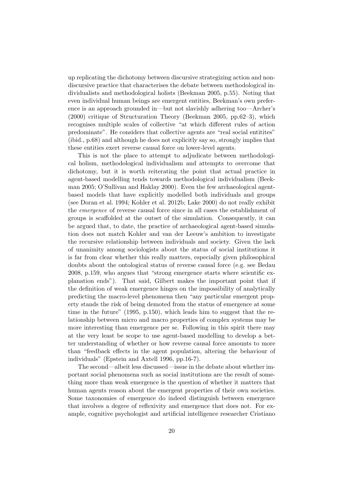up replicating the dichotomy between discursive strategizing action and nondiscursive practice that characterises the debate between methodological individualists and methodological holists (Beekman 2005, p.55). Noting that even individual human beings are emergent entities, Beekman's own preference is an approach grounded in—but not slavishly adhering too—Archer's (2000) critique of Structuration Theory (Beekman 2005, pp.62–3), which recognises multiple scales of collective "at which different rules of action predominate". He considers that collective agents are "real social entitites" (ibid., p.68) and although he does not explicitly say so, strongly implies that these entities exert reverse causal force on lower-level agents.

This is not the place to attempt to adjudicate between methodological holism, methodological individualism and attempts to overcome that dichotomy, but it is worth reiterating the point that actual practice in agent-based modelling tends towards methodological individualism (Beekman 2005; O'Sullivan and Haklay 2000). Even the few archaeological agentbased models that have explicitly modelled both individuals and groups (see Doran et al. 1994; Kohler et al. 2012b; Lake 2000) do not really exhibit the emergence of reverse causal force since in all cases the establishment of groups is scaffolded at the outset of the simulation. Consequently, it can be argued that, to date, the practice of archaeological agent-based simulation does not match Kohler and van der Leeuw's ambition to investigate the recursive relationship between individuals and society. Given the lack of unanimity among sociologists about the status of social institutions it is far from clear whether this really matters, especially given philosophical doubts about the ontological status of reverse causal force (e.g. see Bedau 2008, p.159, who argues that "strong emergence starts where scientific explanation ends"). That said, Gilbert makes the important point that if the definition of weak emergence hinges on the impossibility of analytically predicting the macro-level phenomena then "any particular emergent property stands the risk of being demoted from the status of emergence at some time in the future" (1995, p.150), which leads him to suggest that the relationship between micro and macro properties of complex systems may be more interesting than emergence per se. Following in this spirit there may at the very least be scope to use agent-based modelling to develop a better understanding of whether or how reverse causal force amounts to more than "feedback effects in the agent population, altering the behaviour of individuals" (Epstein and Axtell 1996, pp.16-7).

The second—albeit less discussed—issue in the debate about whether important social phenomena such as social institutions are the result of something more than weak emergence is the question of whether it matters that human agents reason about the emergent properties of their own societies. Some taxonomies of emergence do indeed distinguish between emergence that involves a degree of reflexivity and emergence that does not. For example, cognitive psychologist and artificial intelligence researcher Cristiano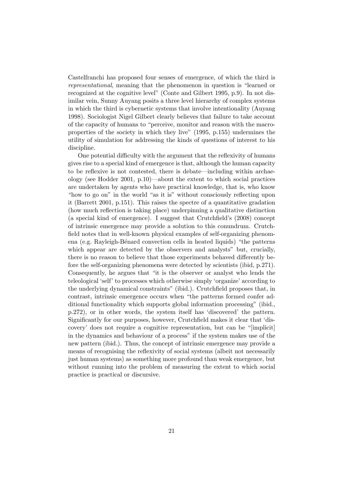Castelfranchi has proposed four senses of emergence, of which the third is representational, meaning that the phenomenon in question is "learned or recognized at the cognitive level" (Conte and Gilbert 1995, p.9). In not disimilar vein, Sunny Auyang posits a three level hierarchy of complex systems in which the third is cybernetic systems that involve intentionality (Auyang 1998). Sociologist Nigel Gilbert clearly believes that failure to take account of the capacity of humans to "perceive, monitor and reason with the macroproperties of the society in which they live" (1995, p.155) undermines the utility of simulation for addressing the kinds of questions of interest to his discipline.

One potential difficulty with the argument that the reflexivity of humans gives rise to a special kind of emergence is that, although the human capacity to be reflexive is not contested, there is debate—including within archaeology (see Hodder 2001, p.10)—about the extent to which social practices are undertaken by agents who have practical knowledge, that is, who know "how to go on" in the world "as it is" without consciously reflecting upon it (Barrett 2001, p.151). This raises the spectre of a quantitative gradation (how much reflection is taking place) underpinning a qualitative distinction (a special kind of emergence). I suggest that Crutchfield's (2008) concept of intrinsic emergence may provide a solution to this conundrum. Crutchfield notes that in well-known physical examples of self-organizing phenomena (e.g. Rayleigh-Bénard convection cells in heated liquids) "the patterns which appear are detected by the observers and analysts" but, crucially, there is no reason to believe that those experiments behaved differently before the self-organizing phenomena were detected by scientists (ibid, p.271). Consequently, he argues that "it is the observer or analyst who lends the teleological 'self' to processes which otherwise simply 'organize' according to the underlying dynamical constraints" (ibid.). Crutchfield proposes that, in contrast, intrinsic emergence occurs when "the patterns formed confer additional functionality which supports global information processing" (ibid., p.272), or in other words, the system itself has 'discovered' the pattern. Significantly for our purposes, however, Crutchfield makes it clear that 'discovery' does not require a cognitive representation, but can be "[implicit] in the dynamics and behaviour of a process" if the system makes use of the new pattern (ibid.). Thus, the concept of intrinsic emergence may provide a means of recognising the reflexivity of social systems (albeit not necessarily just human systems) as something more profound than weak emergence, but without running into the problem of measuring the extent to which social practice is practical or discursive.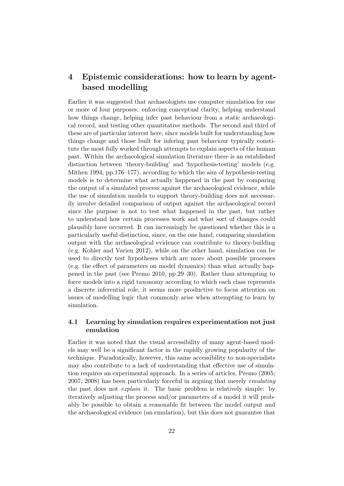# 4 Epistemic considerations: how to learn by agentbased modelling

Earlier it was suggested that archaeologists use computer simulation for one or more of four purposes: enforcing conceptual clarity, helping understand how things change, helping infer past behaviour from a static archaeological record, and testing other quantitative methods. The second and third of these are of particular interest here, since models built for understanding how things change and those built for infering past behaviour typically constitute the most fully worked through attempts to explain aspects of the human past. Within the archaeological simulation literature there is an established distinction between 'theory-building' and 'hypothesis-testing' models (e.g. Mithen 1994, pp.176–177), according to which the aim of hypothesis-testing models is to determine what actually happened in the past by comparing the output of a simulated process against the archaeological evidence, while the use of simulation models to support theory-building does not necessarily involve detailed comparison of output against the archaeological record since the purpose is not to test what happened in the past, but rather to understand how certain processes work and what sort of changes could plausibly have occurred. It can increasingly be questioned whether this is a particularly useful distinction, since, on the one hand, comparing simulation output with the archaeological evidence can contribute to theory-building (e.g. Kohler and Varien 2012), while on the other hand, simulation can be used to directly test hypotheses which are more about possible processes (e.g. the effect of parameters on model dynamics) than what actually happened in the past (see Premo 2010, pp.29–30). Rather than attempting to force models into a rigid taxonomy according to which each class represents a discrete inferential role, it seems more productive to focus attention on issues of modelling logic that commonly arise when attempting to learn by simulation.

## 4.1 Learning by simulation requires experimentation not just emulation

Earlier it was noted that the visual accessibility of many agent-based models may well be a significant factor in the rapidly growing popularity of the technique. Paradoxically, however, this same accessibility to non-specialists may also contribute to a lack of understanding that effective use of simulation requires an experimental approach. In a series of articles, Premo (2005; 2007; 2008) has been particularly forceful in arguing that merely emulating the past does not explain it. The basic problem is relatively simple: by iteratively adjusting the process and/or parameters of a model it will probably be possible to obtain a reasonable fit between the model output and the archaeological evidence (an emulation), but this does not guarantee that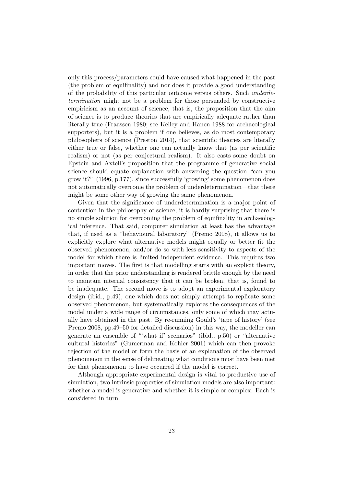only this process/parameters could have caused what happened in the past (the problem of equifinality) and nor does it provide a good understanding of the probability of this particular outcome versus others. Such underdetermination might not be a problem for those persuaded by constructive empiricism as an account of science, that is, the proposition that the aim of science is to produce theories that are empirically adequate rather than literally true (Fraassen 1980; see Kelley and Hanen 1988 for archaeological supporters), but it is a problem if one believes, as do most contemporary philosophers of science (Preston 2014), that scientific theories are literally either true or false, whether one can actually know that (as per scientific realism) or not (as per conjectural realism). It also casts some doubt on Epstein and Axtell's proposition that the programme of generative social science should equate explanation with answering the question "can you grow it?" (1996, p.177), since successfully 'growing' some phenomenon does not automatically overcome the problem of underdetermination—that there might be some other way of growing the same phenomenon.

Given that the significance of underdetermination is a major point of contention in the philosophy of science, it is hardly surprising that there is no simple solution for overcoming the problem of equifinality in archaeological inference. That said, computer simulation at least has the advantage that, if used as a "behavioural laboratory" (Premo 2008), it allows us to explicitly explore what alternative models might equally or better fit the observed phenomenon, and/or do so with less sensitivity to aspects of the model for which there is limited independent evidence. This requires two important moves. The first is that modelling starts with an explicit theory, in order that the prior understanding is rendered brittle enough by the need to maintain internal consistency that it can be broken, that is, found to be inadequate. The second move is to adopt an experimental exploratory design (ibid., p.49), one which does not simply attempt to replicate some observed phenomenon, but systematically explores the consequences of the model under a wide range of circumstances, only some of which may actually have obtained in the past. By re-running Gould's 'tape of history' (see Premo 2008, pp.49–50 for detailed discussion) in this way, the modeller can generate an ensemble of "'what if' scenarios" (ibid., p.50) or "alternative cultural histories" (Gumerman and Kohler 2001) which can then provoke rejection of the model or form the basis of an explanation of the observed phenomenon in the sense of delineating what conditions must have been met for that phenomenon to have occurred if the model is correct.

Although appropriate experimental design is vital to productive use of simulation, two intrinsic properties of simulation models are also important: whether a model is generative and whether it is simple or complex. Each is considered in turn.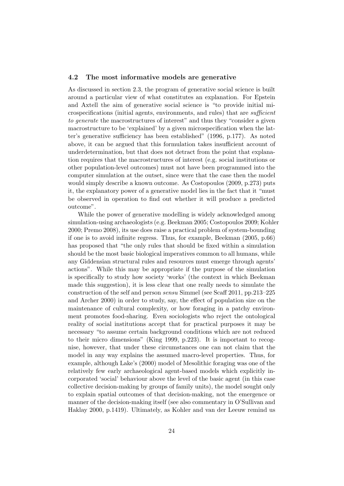#### 4.2 The most informative models are generative

As discussed in section 2.3, the program of generative social science is built around a particular view of what constitutes an explanation. For Epstein and Axtell the aim of generative social science is "to provide initial microspecifications (initial agents, environments, and rules) that are sufficient to generate the macrostructures of interest" and thus they "consider a given macrostructure to be 'explained' by a given microspecification when the latter's generative sufficiency has been established" (1996, p.177). As noted above, it can be argued that this formulation takes insufficient account of underdetermination, but that does not detract from the point that explanation requires that the macrostructures of interest (e.g. social institutions or other population-level outcomes) must not have been programmed into the computer simulation at the outset, since were that the case then the model would simply describe a known outcome. As Costopoulos (2009, p.273) puts it, the explanatory power of a generative model lies in the fact that it "must be observed in operation to find out whether it will produce a predicted outcome".

While the power of generative modelling is widely acknowledged among simulation-using archaeologists (e.g. Beekman 2005; Costopoulos 2009; Kohler 2000; Premo 2008), its use does raise a practical problem of system-bounding if one is to avoid infinite regress. Thus, for example, Beekman (2005, p.66) has proposed that "the only rules that should be fixed within a simulation should be the most basic biological imperatives common to all humans, while any Giddensian structural rules and resources must emerge through agents' actions". While this may be appropriate if the purpose of the simulation is specifically to study how society 'works' (the context in which Beekman made this suggestion), it is less clear that one really needs to simulate the construction of the self and person sensu Simmel (see Scaff 2011, pp.213–225 and Archer 2000) in order to study, say, the effect of population size on the maintenance of cultural complexity, or how foraging in a patchy environment promotes food-sharing. Even sociologists who reject the ontological reality of social institutions accept that for practical purposes it may be necessary "to assume certain background conditions which are not reduced to their micro dimensions" (King 1999, p.223). It is important to recognise, however, that under these circumstances one can not claim that the model in any way explains the assumed macro-level properties. Thus, for example, although Lake's (2000) model of Mesolithic foraging was one of the relatively few early archaeological agent-based models which explicitly incorporated 'social' behaviour above the level of the basic agent (in this case collective decision-making by groups of family units), the model sought only to explain spatial outcomes of that decision-making, not the emergence or manner of the decision-making itself (see also commentary in O'Sullivan and Haklay 2000, p.1419). Ultimately, as Kohler and van der Leeuw remind us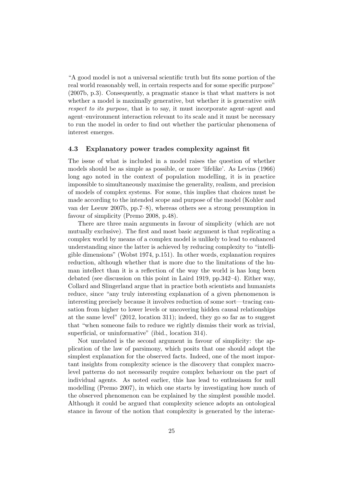"A good model is not a universal scientific truth but fits some portion of the real world reasonably well, in certain respects and for some specific purpose" (2007b, p.3). Consequently, a pragmatic stance is that what matters is not whether a model is maximally generative, but whether it is generative with respect to its purpose, that is to say, it must incorporate agent–agent and agent–environment interaction relevant to its scale and it must be necessary to run the model in order to find out whether the particular phenomena of interest emerges.

#### 4.3 Explanatory power trades complexity against fit

The issue of what is included in a model raises the question of whether models should be as simple as possible, or more 'lifelike'. As Levins (1966) long ago noted in the context of population modelling, it is in practice impossible to simultaneously maximise the generality, realism, and precision of models of complex systems. For some, this implies that choices must be made according to the intended scope and purpose of the model (Kohler and van der Leeuw 2007b, pp.7–8), whereas others see a strong presumption in favour of simplicity (Premo 2008, p.48).

There are three main arguments in favour of simplicity (which are not mutually exclusive). The first and most basic argument is that replicating a complex world by means of a complex model is unlikely to lead to enhanced understanding since the latter is achieved by reducing complexity to "intelligible dimensions" (Wobst 1974, p.151). In other words, explanation requires reduction, although whether that is more due to the limitations of the human intellect than it is a reflection of the way the world is has long been debated (see discussion on this point in Laird 1919, pp.342–4). Either way, Collard and Slingerland argue that in practice both scientists and humanists reduce, since "any truly interesting explanation of a given phenomenon is interesting precisely because it involves reduction of some sort—tracing causation from higher to lower levels or uncovering hidden causal relationships at the same level" (2012, location 311); indeed, they go so far as to suggest that "when someone fails to reduce we rightly dismiss their work as trivial, superficial, or uninformative" (ibid., location 314).

Not unrelated is the second argument in favour of simplicity: the application of the law of parsimony, which posits that one should adopt the simplest explanation for the observed facts. Indeed, one of the most important insights from complexity science is the discovery that complex macrolevel patterns do not necessarily require complex behaviour on the part of individual agents. As noted earlier, this has lead to enthusiasm for null modelling (Premo 2007), in which one starts by investigating how much of the observed phenomenon can be explained by the simplest possible model. Although it could be argued that complexity science adopts an ontological stance in favour of the notion that complexity is generated by the interac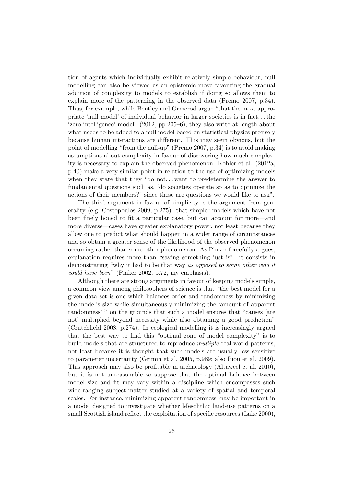tion of agents which individually exhibit relatively simple behaviour, null modelling can also be viewed as an epistemic move favouring the gradual addition of complexity to models to establish if doing so allows them to explain more of the patterning in the observed data (Premo 2007, p.34). Thus, for example, while Bentley and Ormerod argue "that the most appropriate 'null model' of individual behavior in larger societies is in fact. . . the 'zero-intelligence' model" (2012, pp.205–6), they also write at length about what needs to be added to a null model based on statistical physics precisely because human interactions are different. This may seem obvious, but the point of modelling "from the null-up" (Premo 2007, p.34) is to avoid making assumptions about complexity in favour of discovering how much complexity is necessary to explain the observed phenomenon. Kohler et al. (2012a, p.40) make a very similar point in relation to the use of optimizing models when they state that they "do not... want to predetermine the answer to fundamental questions such as, 'do societies operate so as to optimize the actions of their members?'–since these are questions we would like to ask".

The third argument in favour of simplicity is the argument from generality (e.g. Costopoulos 2009, p.275): that simpler models which have not been finely honed to fit a particular case, but can account for more—and more diverse—cases have greater explanatory power, not least because they allow one to predict what should happen in a wider range of circumstances and so obtain a greater sense of the likelihood of the observed phenomenon occurring rather than some other phenomenon. As Pinker forcefully argues, explanation requires more than "saying something just is": it consists in demonstrating "why it had to be that way as opposed to some other way it could have been" (Pinker 2002, p.72, my emphasis).

Although there are strong arguments in favour of keeping models simple, a common view among philosophers of science is that "the best model for a given data set is one which balances order and randomness by minimizing the model's size while simultaneously minimizing the 'amount of apparent randomness' " on the grounds that such a model ensures that "causes [are not] multiplied beyond necessity while also obtaining a good prediction" (Crutchfield 2008, p.274). In ecological modelling it is increasingly argued that the best way to find this "optimal zone of model complexity" is to build models that are structured to reproduce multiple real-world patterns, not least because it is thought that such models are usually less sensitive to parameter uncertainty (Grimm et al. 2005, p.989; also Piou et al. 2009). This approach may also be profitable in archaeology (Altaweel et al. 2010), but it is not unreasonable so suppose that the optimal balance between model size and fit may vary within a discipline which encompasses such wide-ranging subject-matter studied at a variety of spatial and temporal scales. For instance, minimizing apparent randomness may be important in a model designed to investigate whether Mesolithic land-use patterns on a small Scottish island reflect the exploitation of specific resources (Lake 2000),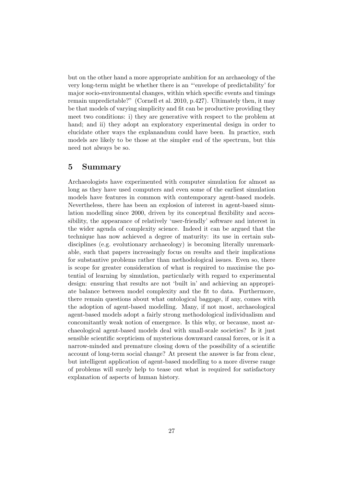but on the other hand a more appropriate ambition for an archaeology of the very long-term might be whether there is an "'envelope of predictability' for major socio-environmental changes, within which specific events and timings remain unpredictable?" (Cornell et al. 2010, p.427). Ultimately then, it may be that models of varying simplicity and fit can be productive providing they meet two conditions: i) they are generative with respect to the problem at hand; and ii) they adopt an exploratory experimental design in order to elucidate other ways the explanandum could have been. In practice, such models are likely to be those at the simpler end of the spectrum, but this need not always be so.

### 5 Summary

Archaeologists have experimented with computer simulation for almost as long as they have used computers and even some of the earliest simulation models have features in common with contemporary agent-based models. Nevertheless, there has been an explosion of interest in agent-based simulation modelling since 2000, driven by its conceptual flexibility and accessibility, the appearance of relatively 'user-friendly' software and interest in the wider agenda of complexity science. Indeed it can be argued that the technique has now achieved a degree of maturity: its use in certain subdisciplines (e.g. evolutionary archaeology) is becoming literally unremarkable, such that papers increasingly focus on results and their implications for substantive problems rather than methodological issues. Even so, there is scope for greater consideration of what is required to maximise the potential of learning by simulation, particularly with regard to experimental design: ensuring that results are not 'built in' and achieving an appropriate balance between model complexity and the fit to data. Furthermore, there remain questions about what ontological baggage, if any, comes with the adoption of agent-based modelling. Many, if not most, archaeological agent-based models adopt a fairly strong methodological individualism and concomitantly weak notion of emergence. Is this why, or because, most archaeological agent-based models deal with small-scale societies? Is it just sensible scientific scepticism of mysterious downward causal forces, or is it a narrow-minded and premature closing down of the possibility of a scientific account of long-term social change? At present the answer is far from clear, but intelligent application of agent-based modelling to a more diverse range of problems will surely help to tease out what is required for satisfactory explanation of aspects of human history.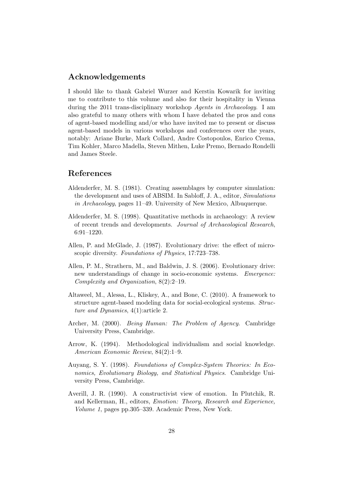# Acknowledgements

I should like to thank Gabriel Wurzer and Kerstin Kowarik for inviting me to contribute to this volume and also for their hospitality in Vienna during the 2011 trans-disciplinary workshop Agents in Archaeology. I am also grateful to many others with whom I have debated the pros and cons of agent-based modelling and/or who have invited me to present or discuss agent-based models in various workshops and conferences over the years, notably: Ariane Burke, Mark Collard, Andre Costopoulos, Enrico Crema, Tim Kohler, Marco Madella, Steven Mithen, Luke Premo, Bernado Rondelli and James Steele.

# References

- Aldenderfer, M. S. (1981). Creating assemblages by computer simulation: the development and uses of ABSIM. In Sabloff, J. A., editor, Simulations in Archaeology, pages 11–49. University of New Mexico, Albuquerque.
- Aldenderfer, M. S. (1998). Quantitative methods in archaeology: A review of recent trends and developments. Journal of Archaeological Research, 6:91–1220.
- Allen, P. and McGlade, J. (1987). Evolutionary drive: the effect of microscopic diversity. Foundations of Physics, 17:723–738.
- Allen, P. M., Strathern, M., and Baldwin, J. S. (2006). Evolutionary drive: new understandings of change in socio-economic systems. Emergence: Complexity and Organization, 8(2):2–19.
- Altaweel, M., Alessa, L., Kliskey, A., and Bone, C. (2010). A framework to structure agent-based modeling data for social-ecological systems. Structure and Dynamics, 4(1):article 2.
- Archer, M. (2000). Being Human: The Problem of Agency. Cambridge University Press, Cambridge.
- Arrow, K. (1994). Methodological individualism and social knowledge. American Economic Review, 84(2):1–9.
- Auyang, S. Y. (1998). Foundations of Complex-System Theories: In Economics, Evolutionary Biology, and Statistical Physics. Cambridge University Press, Cambridge.
- Averill, J. R. (1990). A constructivist view of emotion. In Plutchik, R. and Kellerman, H., editors, Emotion: Theory, Research and Experience, Volume 1, pages pp.305–339. Academic Press, New York.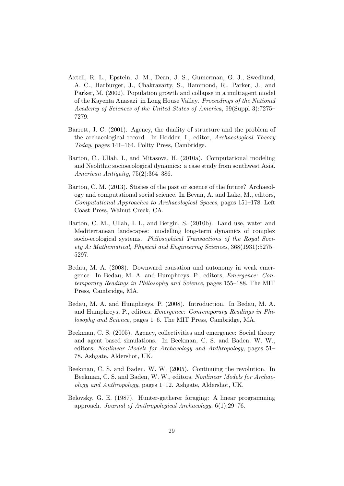- Axtell, R. L., Epstein, J. M., Dean, J. S., Gumerman, G. J., Swedlund, A. C., Harburger, J., Chakravarty, S., Hammond, R., Parker, J., and Parker, M. (2002). Population growth and collapse in a multiagent model of the Kayenta Anasazi in Long House Valley. Proceedings of the National Academy of Sciences of the United States of America, 99(Suppl 3):7275– 7279.
- Barrett, J. C. (2001). Agency, the duality of structure and the problem of the archaeological record. In Hodder, I., editor, Archaeological Theory Today, pages 141–164. Polity Press, Cambridge.
- Barton, C., Ullah, I., and Mitasova, H. (2010a). Computational modeling and Neolithic socioecological dynamics: a case study from southwest Asia. American Antiquity, 75(2):364–386.
- Barton, C. M. (2013). Stories of the past or science of the future? Archaeology and computational social science. In Bevan, A. and Lake, M., editors, Computational Approaches to Archaeological Spaces, pages 151–178. Left Coast Press, Walnut Creek, CA.
- Barton, C. M., Ullah, I. I., and Bergin, S. (2010b). Land use, water and Mediterranean landscapes: modelling long-term dynamics of complex socio-ecological systems. Philosophical Transactions of the Royal Society A: Mathematical, Physical and Engineering Sciences, 368(1931):5275– 5297.
- Bedau, M. A. (2008). Downward causation and autonomy in weak emergence. In Bedau, M. A. and Humphreys, P., editors, Emergence: Contemporary Readings in Philosophy and Science, pages 155–188. The MIT Press, Cambridge, MA.
- Bedau, M. A. and Humphreys, P. (2008). Introduction. In Bedau, M. A. and Humphreys, P., editors, Emergence: Contemporary Readings in Philosophy and Science, pages 1–6. The MIT Press, Cambridge, MA.
- Beekman, C. S. (2005). Agency, collectivities and emergence: Social theory and agent based simulations. In Beekman, C. S. and Baden, W. W., editors, Nonlinear Models for Archaeology and Anthropology, pages 51– 78. Ashgate, Aldershot, UK.
- Beekman, C. S. and Baden, W. W. (2005). Continuing the revolution. In Beekman, C. S. and Baden, W. W., editors, Nonlinear Models for Archaeology and Anthropology, pages 1–12. Ashgate, Aldershot, UK.
- Belovsky, G. E. (1987). Hunter-gatherer foraging: A linear programming approach. Journal of Anthropological Archaeology, 6(1):29–76.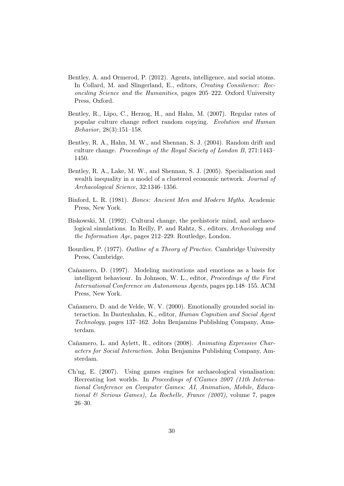- Bentley, A. and Ormerod, P. (2012). Agents, intelligence, and social atoms. In Collard, M. and Slingerland, E., editors, *Creating Consilience: Rec*onciling Science and the Humanities, pages 205–222. Oxford University Press, Oxford.
- Bentley, R., Lipo, C., Herzog, H., and Hahn, M. (2007). Regular rates of popular culture change reflect random copying. Evolution and Human Behavior, 28(3):151–158.
- Bentley, R. A., Hahn, M. W., and Shennan, S. J. (2004). Random drift and culture change. Proceedings of the Royal Society of London B, 271:1443– 1450.
- Bentley, R. A., Lake, M. W., and Shennan, S. J. (2005). Specialisation and wealth inequality in a model of a clustered economic network. Journal of Archaeological Science, 32:1346–1356.
- Binford, L. R. (1981). Bones: Ancient Men and Modern Myths. Academic Press, New York.
- Biskowski, M. (1992). Cultural change, the prehistoric mind, and archaeological simulations. In Reilly, P. and Rahtz, S., editors, Archaeology and the Information Age, pages 212–229. Routledge, London.
- Bourdieu, P. (1977). Outline of a Theory of Practice. Cambridge University Press, Cambridge.
- Cañamero, D. (1997). Modeling motivations and emotions as a basis for intelligent behaviour. In Johnson, W. L., editor, Proceedings of the First International Conference on Autonomous Agents, pages pp.148–155. ACM Press, New York.
- Cañamero, D. and de Velde, W. V. (2000). Emotionally grounded social interaction. In Dautenhahn, K., editor, Human Cognition and Social Agent Technology, pages 137–162. John Benjamins Publishing Company, Amsterdam.
- Cañamero, L. and Aylett, R., editors (2008). Animating Expressive Characters for Social Interaction. John Benjamins Publishing Company, Amsterdam.
- Ch'ng, E. (2007). Using games engines for archaeological visualisation: Recreating lost worlds. In Proceedings of CGames 2007 (11th International Conference on Computer Games: AI, Animation, Mobile, Educational  $\mathcal B$  Serious Games), La Rochelle, France (2007), volume 7, pages 26–30.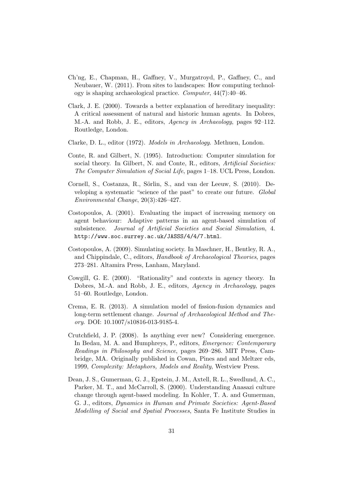- Ch'ng, E., Chapman, H., Gaffney, V., Murgatroyd, P., Gaffney, C., and Neubauer, W. (2011). From sites to landscapes: How computing technology is shaping archaeological practice. Computer, 44(7):40–46.
- Clark, J. E. (2000). Towards a better explanation of hereditary inequality: A critical assessment of natural and historic human agents. In Dobres, M.-A. and Robb, J. E., editors, Agency in Archaeology, pages 92–112. Routledge, London.
- Clarke, D. L., editor (1972). Models in Archaeology. Methuen, London.
- Conte, R. and Gilbert, N. (1995). Introduction: Computer simulation for social theory. In Gilbert, N. and Conte, R., editors, Artificial Societies: The Computer Simulation of Social Life, pages 1–18. UCL Press, London.
- Cornell, S., Costanza, R., Sörlin, S., and van der Leeuw, S. (2010). Developing a systematic "science of the past" to create our future. Global Environmental Change, 20(3):426–427.
- Costopoulos, A. (2001). Evaluating the impact of increasing memory on agent behaviour: Adaptive patterns in an agent-based simulation of subsistence. Journal of Artificial Societies and Social Simulation, 4. http://www.soc.surrey.ac.uk/JASSS/4/4/7.html.
- Costopoulos, A. (2009). Simulating society. In Maschner, H., Bentley, R. A., and Chippindale, C., editors, Handbook of Archaeological Theories, pages 273–281. Altamira Press, Lanham, Maryland.
- Cowgill, G. E. (2000). "Rationality" and contexts in agency theory. In Dobres, M.-A. and Robb, J. E., editors, Agency in Archaeology, pages 51–60. Routledge, London.
- Crema, E. R. (2013). A simulation model of fission-fusion dynamics and long-term settlement change. Journal of Archaeological Method and Theory. DOI: 10.1007/s10816-013-9185-4.
- Crutchfield, J. P. (2008). Is anything ever new? Considering emergence. In Bedau, M. A. and Humphreys, P., editors, *Emergence: Contemporary* Readings in Philosophy and Science, pages 269–286. MIT Press, Cambridge, MA. Originally published in Cowan, Pines and and Meltzer eds, 1999, Complexity: Metaphors, Models and Reality, Westview Press.
- Dean, J. S., Gumerman, G. J., Epstein, J. M., Axtell, R. L., Swedlund, A. C., Parker, M. T., and McCarroll, S. (2000). Understanding Anasazi culture change through agent-based modeling. In Kohler, T. A. and Gumerman, G. J., editors, Dynamics in Human and Primate Societies: Agent-Based Modelling of Social and Spatial Processes, Santa Fe Institute Studies in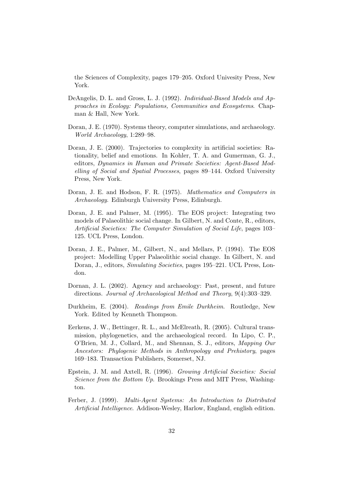the Sciences of Complexity, pages 179–205. Oxford Univesity Press, New York.

- DeAngelis, D. L. and Gross, L. J. (1992). Individual-Based Models and Approaches in Ecology: Populations, Communities and Ecosystems. Chapman & Hall, New York.
- Doran, J. E. (1970). Systems theory, computer simulations, and archaeology. World Archaeology, 1:289–98.
- Doran, J. E. (2000). Trajectories to complexity in artificial societies: Rationality, belief and emotions. In Kohler, T. A. and Gumerman, G. J., editors, Dynamics in Human and Primate Societies: Agent-Based Modelling of Social and Spatial Processes, pages 89–144. Oxford University Press, New York.
- Doran, J. E. and Hodson, F. R. (1975). Mathematics and Computers in Archaeology. Edinburgh University Press, Edinburgh.
- Doran, J. E. and Palmer, M. (1995). The EOS project: Integrating two models of Palaeolithic social change. In Gilbert, N. and Conte, R., editors, Artificial Societies: The Computer Simulation of Social Life, pages 103– 125. UCL Press, London.
- Doran, J. E., Palmer, M., Gilbert, N., and Mellars, P. (1994). The EOS project: Modelling Upper Palaeolithic social change. In Gilbert, N. and Doran, J., editors, Simulating Societies, pages 195–221. UCL Press, London.
- Dornan, J. L. (2002). Agency and archaeology: Past, present, and future directions. Journal of Archaeological Method and Theory, 9(4):303–329.
- Durkheim, E. (2004). Readings from Emile Durkheim. Routledge, New York. Edited by Kenneth Thompson.
- Eerkens, J. W., Bettinger, R. L., and McElreath, R. (2005). Cultural transmission, phylogenetics, and the archaeological record. In Lipo, C. P., O'Brien, M. J., Collard, M., and Shennan, S. J., editors, Mapping Our Ancestors: Phylogenic Methods in Anthropology and Prehistory, pages 169–183. Transaction Publishers, Somerset, NJ.
- Epstein, J. M. and Axtell, R. (1996). Growing Artificial Societies: Social Science from the Bottom Up. Brookings Press and MIT Press, Washington.
- Ferber, J. (1999). Multi-Agent Systems: An Introduction to Distributed Artificial Intelligence. Addison-Wesley, Harlow, England, english edition.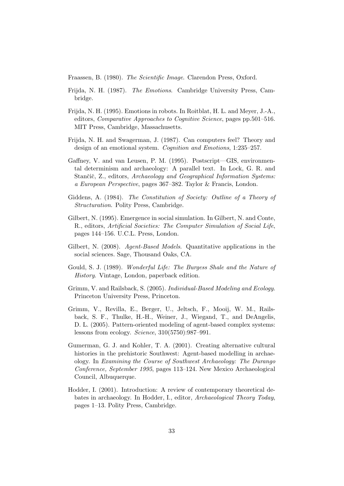Fraassen, B. (1980). The Scientific Image. Clarendon Press, Oxford.

- Frijda, N. H. (1987). The Emotions. Cambridge University Press, Cambridge.
- Frijda, N. H. (1995). Emotions in robots. In Roitblat, H. L. and Meyer, J.-A., editors, Comparative Approaches to Cognitive Science, pages pp.501–516. MIT Press, Cambridge, Massachusetts.
- Frijda, N. H. and Swagerman, J. (1987). Can computers feel? Theory and design of an emotional system. Cognition and Emotions, 1:235–257.
- Gaffney, V. and van Leusen, P. M. (1995). Postscript—GIS, environmental determinism and archaeology: A parallel text. In Lock, G. R. and Stančič, Z., editors, Archaeology and Geographical Information Systems: a European Perspective, pages 367–382. Taylor & Francis, London.
- Giddens, A. (1984). The Constitution of Society: Outline of a Theory of Structuration. Polity Press, Cambridge.
- Gilbert, N. (1995). Emergence in social simulation. In Gilbert, N. and Conte, R., editors, Artificial Societies: The Computer Simulation of Social Life, pages 144–156. U.C.L. Press, London.
- Gilbert, N. (2008). Agent-Based Models. Quantitative applications in the social sciences. Sage, Thousand Oaks, CA.
- Gould, S. J. (1989). Wonderful Life: The Burgess Shale and the Nature of History. Vintage, London, paperback edition.
- Grimm, V. and Railsback, S. (2005). Individual-Based Modeling and Ecology. Princeton University Press, Princeton.
- Grimm, V., Revilla, E., Berger, U., Jeltsch, F., Mooij, W. M., Railsback, S. F., Thulke, H.-H., Weiner, J., Wiegand, T., and DeAngelis, D. L. (2005). Pattern-oriented modeling of agent-based complex systems: lessons from ecology. Science, 310(5750):987–991.
- Gumerman, G. J. and Kohler, T. A. (2001). Creating alternative cultural histories in the prehistoric Southwest: Agent-based modelling in archaeology. In Examining the Course of Southwest Archaeology: The Durango Conference, September 1995, pages 113–124. New Mexico Archaeological Council, Albuquerque.
- Hodder, I. (2001). Introduction: A review of contemporary theoretical debates in archaeology. In Hodder, I., editor, Archaeological Theory Today, pages 1–13. Polity Press, Cambridge.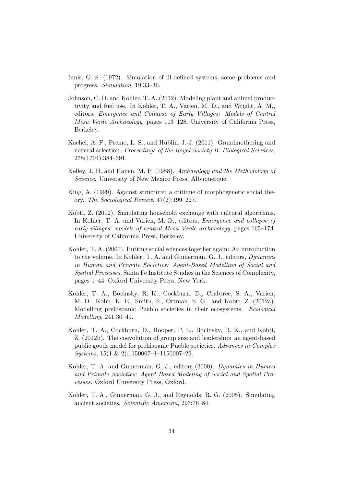- Innis, G. S. (1972). Simulation of ill-defined systems, some problems and progress. Simulation, 19:33–36.
- Johnson, C. D. and Kohler, T. A. (2012). Modeling plant and animal productivity and fuel use. In Kohler, T. A., Varien, M. D., and Wright, A. M., editors, Emergence and Collapse of Early Villages: Models of Central Mesa Verde Archaeology, pages 113–128. University of California Press, Berkeley.
- Kachel, A. F., Premo, L. S., and Hublin, J.-J. (2011). Grandmothering and natural selection. Proceedings of the Royal Society B: Biological Sciences, 278(1704):384–391.
- Kelley, J. H. and Hanen, M. P. (1988). Archaeology and the Methodology of Science. University of New Mexico Press, Albuquerque.
- King, A. (1999). Against structure: a critique of morphogenetic social theory. The Sociological Review, 47(2):199–227.
- Kobti, Z. (2012). Simulating household exchange with cultural algorithms. In Kohler, T. A. and Varien, M. D., editors, *Emergence and collapse of* early villages: models of central Mesa Verde archaeology, pages 165–174. University of California Press, Berkeley.
- Kohler, T. A. (2000). Putting social sciences together again: An introduction to the volume. In Kohler, T. A. and Gumerman, G. J., editors, Dynamics in Human and Primate Societies: Agent-Based Modelling of Social and Spatial Processes, Santa Fe Institute Studies in the Sciences of Complexity, pages 1–44. Oxford University Press, New York.
- Kohler, T. A., Bocinsky, R. K., Cockburn, D., Crabtree, S. A., Varien, M. D., Kolm, K. E., Smith, S., Ortman, S. G., and Kobti, Z. (2012a). Modelling prehispanic Pueblo societies in their ecosystems. Ecological Modelling, 241:30–41.
- Kohler, T. A., Cockburn, D., Hooper, P. L., Bocinsky, R. K., and Kobti, Z. (2012b). The coevolution of group size and leadership: an agent-based public goods model for prehispanic Pueblo societies. Advances in Complex Systems, 15(1 & 2):1150007–1–1150007–29.
- Kohler, T. A. and Gumerman, G. J., editors (2000). Dynamics in Human and Primate Societies: Agent Based Modeling of Social and Spatial Processes. Oxford University Press, Oxford.
- Kohler, T. A., Gumerman, G. J., and Reynolds, R. G. (2005). Simulating ancient societies. Scientific American, 293:76–84.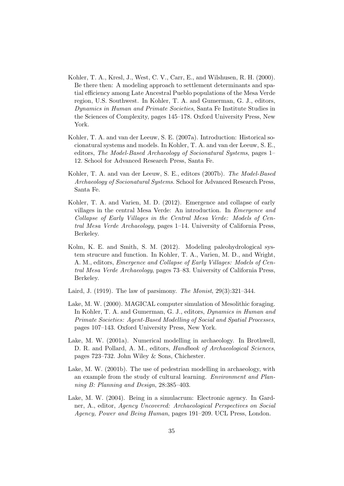- Kohler, T. A., Kresl, J., West, C. V., Carr, E., and Wilshusen, R. H. (2000). Be there then: A modeling approach to settlement determinants and spatial efficiency among Late Ancestral Pueblo populations of the Mesa Verde region, U.S. Southwest. In Kohler, T. A. and Gumerman, G. J., editors, Dynamics in Human and Primate Societies, Santa Fe Institute Studies in the Sciences of Complexity, pages 145–178. Oxford University Press, New York.
- Kohler, T. A. and van der Leeuw, S. E. (2007a). Introduction: Historical socionatural systems and models. In Kohler, T. A. and van der Leeuw, S. E., editors, The Model-Based Archaeology of Socionatural Systems, pages 1– 12. School for Advanced Research Press, Santa Fe.
- Kohler, T. A. and van der Leeuw, S. E., editors (2007b). The Model-Based Archaeology of Socionatural Systems. School for Advanced Research Press, Santa Fe.
- Kohler, T. A. and Varien, M. D. (2012). Emergence and collapse of early villages in the central Mesa Verde: An introduction. In Emergence and Collapse of Early Villages in the Central Mesa Verde: Models of Central Mesa Verde Archaeology, pages 1–14. University of California Press, Berkeley.
- Kolm, K. E. and Smith, S. M. (2012). Modeling paleohydrological system strucure and function. In Kohler, T. A., Varien, M. D., and Wright, A. M., editors, Emergence and Collapse of Early Villages: Models of Central Mesa Verde Archaeology, pages 73–83. University of California Press, Berkeley.
- Laird, J. (1919). The law of parsimony. The Monist, 29(3):321–344.
- Lake, M. W. (2000). MAGICAL computer simulation of Mesolithic foraging. In Kohler, T. A. and Gumerman, G. J., editors, *Dynamics in Human and* Primate Societies: Agent-Based Modelling of Social and Spatial Processes, pages 107–143. Oxford University Press, New York.
- Lake, M. W. (2001a). Numerical modelling in archaeology. In Brothwell, D. R. and Pollard, A. M., editors, *Handbook of Archaeological Sciences*, pages 723–732. John Wiley & Sons, Chichester.
- Lake, M. W. (2001b). The use of pedestrian modelling in archaeology, with an example from the study of cultural learning. Environment and Planning B: Planning and Design, 28:385–403.
- Lake, M. W. (2004). Being in a simulacrum: Electronic agency. In Gardner, A., editor, Agency Uncovered: Archaeological Perspectives on Social Agency, Power and Being Human, pages 191–209. UCL Press, London.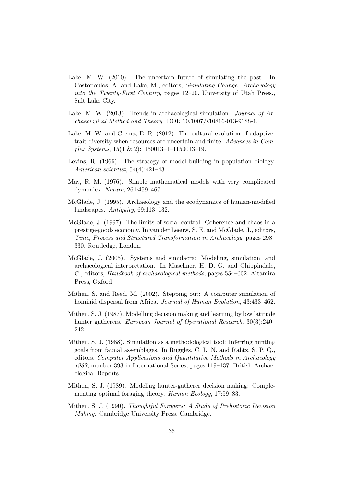- Lake, M. W. (2010). The uncertain future of simulating the past. In Costopoulos, A. and Lake, M., editors, Simulating Change: Archaeology into the Twenty-First Century, pages 12–20. University of Utah Press., Salt Lake City.
- Lake, M. W. (2013). Trends in archaeological simulation. *Journal of Ar*chaeological Method and Theory. DOI: 10.1007/s10816-013-9188-1.
- Lake, M. W. and Crema, E. R. (2012). The cultural evolution of adaptivetrait diversity when resources are uncertain and finite. Advances in Complex Systems, 15(1 & 2):1150013–1–1150013–19.
- Levins, R. (1966). The strategy of model building in population biology. American scientist, 54(4):421–431.
- May, R. M. (1976). Simple mathematical models with very complicated dynamics. Nature, 261:459–467.
- McGlade, J. (1995). Archaeology and the ecodynamics of human-modified landscapes. Antiquity, 69:113–132.
- McGlade, J. (1997). The limits of social control: Coherence and chaos in a prestige-goods economy. In van der Leeuw, S. E. and McGlade, J., editors, Time, Process and Structured Transformation in Archaeology, pages 298– 330. Routledge, London.
- McGlade, J. (2005). Systems and simulacra: Modeling, simulation, and archaeological interpretation. In Maschner, H. D. G. and Chippindale, C., editors, Handbook of archaeological methods, pages 554–602. Altamira Press, Oxford.
- Mithen, S. and Reed, M. (2002). Stepping out: A computer simulation of hominid dispersal from Africa. Journal of Human Evolution, 43:433–462.
- Mithen, S. J. (1987). Modelling decision making and learning by low latitude hunter gatherers. European Journal of Operational Research, 30(3):240– 242.
- Mithen, S. J. (1988). Simulation as a methodological tool: Inferring hunting goals from faunal assemblages. In Ruggles, C. L. N. and Rahtz, S. P. Q., editors, Computer Applications and Quantitative Methods in Archaeology 1987, number 393 in International Series, pages 119–137. British Archaeological Reports.
- Mithen, S. J. (1989). Modeling hunter-gatherer decision making: Complementing optimal foraging theory. Human Ecology, 17:59–83.
- Mithen, S. J. (1990). Thoughtful Foragers: A Study of Prehistoric Decision Making. Cambridge University Press, Cambridge.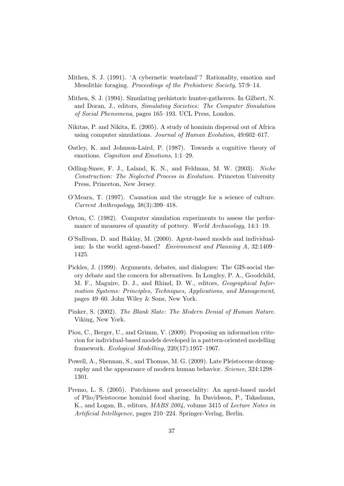- Mithen, S. J. (1991). 'A cybernetic wasteland'? Rationality, emotion and Mesolithic foraging. Proceedings of the Prehistoric Society, 57:9–14.
- Mithen, S. J. (1994). Simulating prehistoric hunter-gatherers. In Gilbert, N. and Doran, J., editors, Simulating Societies: The Computer Simulation of Social Phenomena, pages 165–193. UCL Press, London.
- Nikitas, P. and Nikita, E. (2005). A study of hominin dispersal out of Africa using computer simulations. Journal of Human Evolution, 49:602–617.
- Oatley, K. and Johnson-Laird, P. (1987). Towards a cognitive theory of emotions. Cognition and Emotions, 1:1–29.
- Odling-Smee, F. J., Laland, K. N., and Feldman, M. W. (2003). Niche Construction: The Neglected Process in Evolution. Princeton University Press, Princeton, New Jersey.
- O'Meara, T. (1997). Causation and the struggle for a science of culture. Current Anthropology, 38(3):399–418.
- Orton, C. (1982). Computer simulation experiments to assess the performance of measures of quantity of pottery. World Archaeology, 14:1–19.
- O'Sullivan, D. and Haklay, M. (2000). Agent-based models and individualism: Is the world agent-based? Environment and Planning A, 32:1409– 1425.
- Pickles, J. (1999). Arguments, debates, and dialogues: The GIS-social theory debate and the concern for alternatives. In Longley, P. A., Goodchild, M. F., Maguire, D. J., and Rhind, D. W., editors, *Geographical Infor*mation Systems: Principles, Techniques, Applications, and Management, pages 49–60. John Wiley & Sons, New York.
- Pinker, S. (2002). The Blank Slate: The Modern Denial of Human Nature. Viking, New York.
- Piou, C., Berger, U., and Grimm, V. (2009). Proposing an information criterion for individual-based models developed in a pattern-oriented modelling framework. Ecological Modelling, 220(17):1957–1967.
- Powell, A., Shennan, S., and Thomas, M. G. (2009). Late Pleistocene demography and the appearance of modern human behavior. Science, 324:1298– 1301.
- Premo, L. S. (2005). Patchiness and prosociality: An agent-based model of Plio/Pleistocene hominid food sharing. In Davidsson, P., Takadama, K., and Logan, B., editors, MABS 2004, volume 3415 of Lecture Notes in Artificial Intelligence, pages 210–224. Springer-Verlag, Berlin.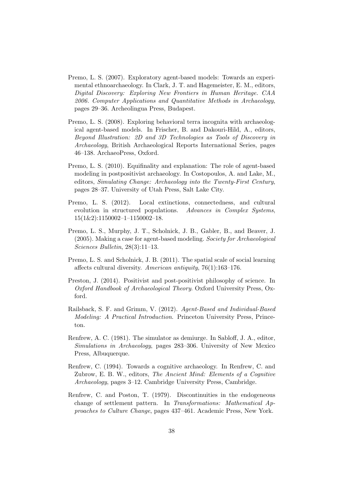- Premo, L. S. (2007). Exploratory agent-based models: Towards an experimental ethnoarchaeology. In Clark, J. T. and Hagemeister, E. M., editors, Digital Discovery: Exploring New Frontiers in Human Heritage. CAA 2006. Computer Applications and Quantitative Methods in Archaeology, pages 29–36. Archeolingua Press, Budapest.
- Premo, L. S. (2008). Exploring behavioral terra incognita with archaeological agent-based models. In Frischer, B. and Dakouri-Hild, A., editors, Beyond Illustration: 2D and 3D Technologies as Tools of Discovery in Archaeology, British Archaeological Reports International Series, pages 46–138. ArchaeoPress, Oxford.
- Premo, L. S. (2010). Equifinality and explanation: The role of agent-based modeling in postpositivist archaeology. In Costopoulos, A. and Lake, M., editors, Simulating Change: Archaeology into the Twenty-First Century, pages 28–37. University of Utah Press, Salt Lake City.
- Premo, L. S. (2012). Local extinctions, connectedness, and cultural evolution in structured populations. Advances in Complex Systems, 15(1&2):1150002–1–1150002–18.
- Premo, L. S., Murphy, J. T., Scholnick, J. B., Gabler, B., and Beaver, J. (2005). Making a case for agent-based modeling. Society for Archaeological Sciences Bulletin, 28(3):11–13.
- Premo, L. S. and Scholnick, J. B. (2011). The spatial scale of social learning affects cultural diversity. American antiquity, 76(1):163–176.
- Preston, J. (2014). Positivist and post-positivist philosophy of science. In Oxford Handbook of Archaeological Theory. Oxford University Press, Oxford.
- Railsback, S. F. and Grimm, V. (2012). Agent-Based and Individual-Based Modeling: A Practical Introduction. Princeton University Press, Princeton.
- Renfrew, A. C. (1981). The simulator as demiurge. In Sabloff, J. A., editor, Simulations in Archaeology, pages 283–306. University of New Mexico Press, Albuquerque.
- Renfrew, C. (1994). Towards a cognitive archaeology. In Renfrew, C. and Zubrow, E. B. W., editors, The Ancient Mind: Elements of a Cognitive Archaeology, pages 3–12. Cambridge University Press, Cambridge.
- Renfrew, C. and Poston, T. (1979). Discontinuities in the endogeneous change of settlement pattern. In Transformations: Mathematical Approaches to Culture Change, pages 437–461. Academic Press, New York.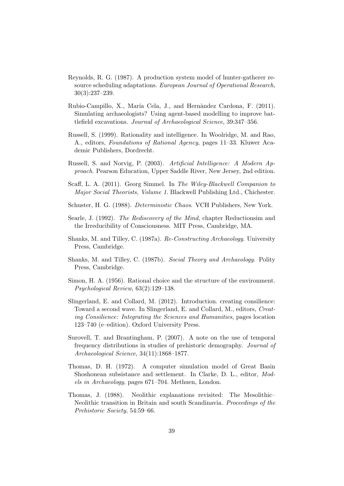- Reynolds, R. G. (1987). A production system model of hunter-gatherer resource scheduling adaptations. European Journal of Operational Research, 30(3):237–239.
- Rubio-Campillo, X., María Cela, J., and Hernàndez Cardona, F. (2011). Simulating archaeologists? Using agent-based modelling to improve battlefield excavations. Journal of Archaeological Science, 39:347–356.
- Russell, S. (1999). Rationality and intelligence. In Woolridge, M. and Rao, A., editors, Foundations of Rational Agency, pages 11–33. Kluwer Academic Publishers, Dordrecht.
- Russell, S. and Norvig, P. (2003). Artificial Intelligence: A Modern Approach. Pearson Education, Upper Saddle River, New Jersey, 2nd edition.
- Scaff, L. A. (2011). Georg Simmel. In The Wiley-Blackwell Companion to Major Social Theorists, Volume 1. Blackwell Publishing Ltd., Chichester.
- Schuster, H. G. (1988). Deterministic Chaos. VCH Publishers, New York.
- Searle, J. (1992). The Rediscovery of the Mind, chapter Reductionsim and the Irreducibility of Consciousness. MIT Press, Cambridge, MA.
- Shanks, M. and Tilley, C. (1987a). Re-Constructing Archaeology. University Press, Cambridge.
- Shanks, M. and Tilley, C. (1987b). Social Theory and Archaeology. Polity Press, Cambridge.
- Simon, H. A. (1956). Rational choice and the structure of the environment. Psychological Review, 63(2):129–138.
- Slingerland, E. and Collard, M. (2012). Introduction. creating consilience: Toward a second wave. In Slingerland, E. and Collard, M., editors, Creating Consilience: Integrating the Sciences and Humanities, pages location 123–740 (e–edition). Oxford University Press.
- Surovell, T. and Brantingham, P. (2007). A note on the use of temporal frequency distributions in studies of prehistoric demography. Journal of Archaeological Science, 34(11):1868–1877.
- Thomas, D. H. (1972). A computer simulation model of Great Basin Shoshonean subsistance and settlement. In Clarke, D. L., editor, Models in Archaeology, pages 671–704. Methuen, London.
- Thomas, J. (1988). Neolithic explanations revisited: The Mesolithic– Neolithic transition in Britain and south Scandinavia. *Proceedings of the* Prehistoric Society, 54:59–66.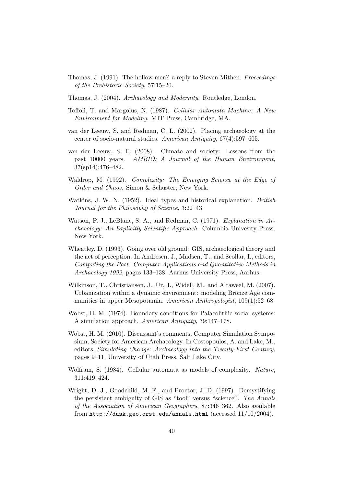- Thomas, J. (1991). The hollow men? a reply to Steven Mithen. *Proceedings* of the Prehistoric Society, 57:15–20.
- Thomas, J. (2004). Archaeology and Modernity. Routledge, London.
- Toffoli, T. and Margolus, N. (1987). Cellular Automata Machine: A New Environment for Modeling. MIT Press, Cambridge, MA.
- van der Leeuw, S. and Redman, C. L. (2002). Placing archaeology at the center of socio-natural studies. American Antiquity, 67(4):597–605.
- van der Leeuw, S. E. (2008). Climate and society: Lessons from the past 10000 years. AMBIO: A Journal of the Human Environment, 37(sp14):476–482.
- Waldrop, M. (1992). Complexity: The Emerging Science at the Edge of Order and Chaos. Simon & Schuster, New York.
- Watkins, J. W. N. (1952). Ideal types and historical explanation. *British* Journal for the Philosophy of Science, 3:22–43.
- Watson, P. J., LeBlanc, S. A., and Redman, C. (1971). Explanation in Archaeology: An Explicitly Scientific Approach. Columbia Univesity Press, New York.
- Wheatley, D. (1993). Going over old ground: GIS, archaeological theory and the act of perception. In Andresen, J., Madsen, T., and Scollar, I., editors, Computing the Past: Computer Applications and Quantitative Methods in Archaeology 1992, pages 133–138. Aarhus University Press, Aarhus.
- Wilkinson, T., Christiansen, J., Ur, J., Widell, M., and Altaweel, M. (2007). Urbanization within a dynamic environment: modeling Bronze Age communities in upper Mesopotamia. American Anthropologist, 109(1):52–68.
- Wobst, H. M. (1974). Boundary conditions for Palaeolithic social systems: A simulation approach. American Antiquity, 39:147–178.
- Wobst, H. M. (2010). Discussant's comments, Computer Simulation Symposium, Society for American Archaeology. In Costopoulos, A. and Lake, M., editors, Simulating Change: Archaeology into the Twenty-First Century, pages 9–11. University of Utah Press, Salt Lake City.
- Wolfram, S. (1984). Cellular automata as models of complexity. Nature, 311:419–424.
- Wright, D. J., Goodchild, M. F., and Proctor, J. D. (1997). Demystifying the persistent ambiguity of GIS as "tool" versus "science". The Annals of the Association of American Geographers, 87:346–362. Also available from http://dusk.geo.orst.edu/annals.html (accessed 11/10/2004).